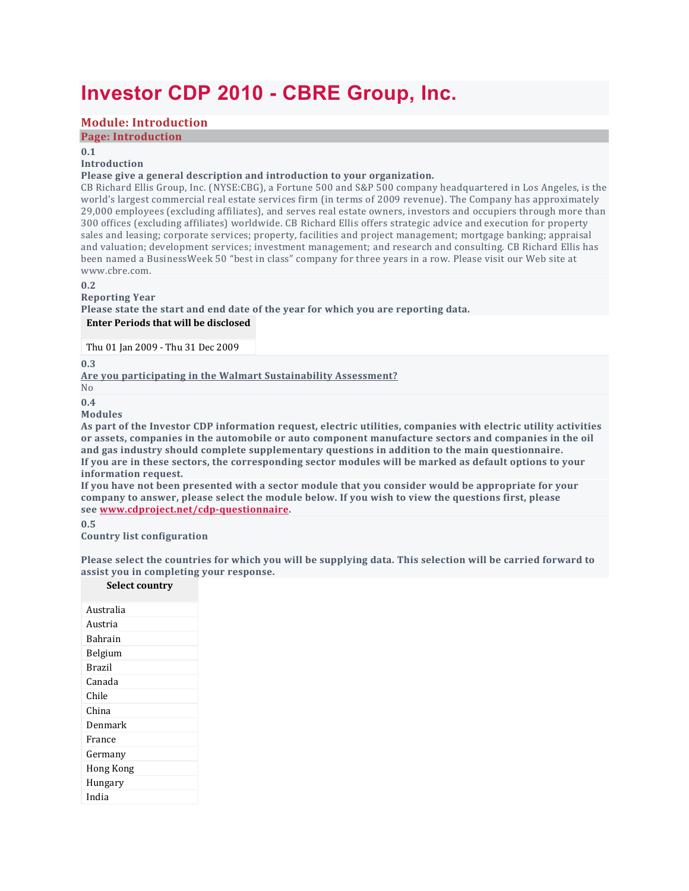# **Investor CDP 2010 - CBRE Group, Inc.**

# **Module: Introduction**

**Page: Introduction**

**0.1**

#### **Introduction**

#### **Please give a general description and introduction to your organization.**

CB Richard Ellis Group, Inc. (NYSE:CBG), a Fortune 500 and S&P 500 company headquartered in Los Angeles, is the world's largest commercial real estate services firm (in terms of 2009 revenue). The Company has approximately 29,000 employees (excluding affiliates), and serves real estate owners, investors and occupiers through more than 300 offices (excluding affiliates) worldwide. CB Richard Ellis offers strategic advice and execution for property sales and leasing; corporate services; property, facilities and project management; mortgage banking; appraisal and valuation; development services; investment management; and research and consulting. CB Richard Ellis has been named a BusinessWeek 50 "best in class" company for three years in a row. Please visit our Web site at www.cbre.com.

**0.2**

#### **Reporting Year Please state the start and end date of the year for which you are reporting data. Enter Periods that will be disclosed**

Thu 01 Jan 2009 - Thu 31 Dec 2009

**0.3**

**Are you participating in the Walmart Sustainability Assessment?**

No **0.4**

# **Modules**

**As part of the Investor CDP information request, electric utilities, companies with electric utility activities or assets, companies in the automobile or auto component manufacture sectors and companies in the oil and gas industry should complete supplementary questions in addition to the main questionnaire.** If you are in these sectors, the corresponding sector modules will be marked as default options to your **information request.**

If you have not been presented with a sector module that you consider would be appropriate for your **company to answer, please select the module below. If you wish to view the questions first, please see [www.cdproject.net/cdp-questionnaire.](http://www.cdp.net/cdp-questionnaire)**

**0.5**

**Country list configuration**

Please select the countries for which you will be supplying data. This selection will be carried forward to **assist you in completing your response.**

#### **Select country**

| Australia     |
|---------------|
| Austria       |
| Bahrain       |
| Belgium       |
| <b>Brazil</b> |
| Canada        |
| Chile         |
| China         |
| Denmark       |
| France        |
| Germany       |
| Hong Kong     |
| Hungary       |
| India         |
|               |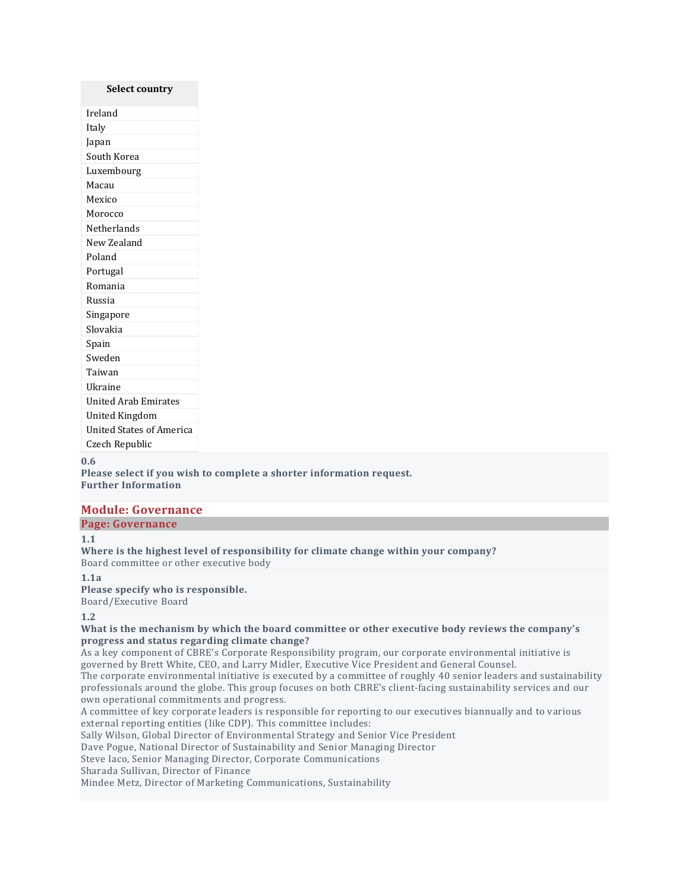# **Select country** Ireland Italy Japan South Korea Luxembourg Macau Mexico Morocco Netherlands New Zealand Poland Portugal Romania Russia Singapore Slovakia Spain Sweden Taiwan Ukraine United Arab Emirates United Kingdom United States of America Czech Republic

#### **0.6**

**Please select if you wish to complete a shorter information request. Further Information**

# **Module: Governance**

#### **Page: Governance**

#### **1.1**

**Where is the highest level of responsibility for climate change within your company?** Board committee or other executive body

#### **1.1a Please specify who is responsible.**

Board/Executive Board

#### **1.2**

**What is the mechanism by which the board committee or other executive body reviews the company's progress and status regarding climate change?**

As a key component of CBRE's Corporate Responsibility program, our corporate environmental initiative is governed by Brett White, CEO, and Larry Midler, Executive Vice President and General Counsel.

The corporate environmental initiative is executed by a committee of roughly 40 senior leaders and sustainability professionals around the globe. This group focuses on both CBRE's client-facing sustainability services and our own operational commitments and progress.

A committee of key corporate leaders is responsible for reporting to our executives biannually and to various external reporting entities (like CDP). This committee includes:

Sally Wilson, Global Director of Environmental Strategy and Senior Vice President

Dave Pogue, National Director of Sustainability and Senior Managing Director

Steve Iaco, Senior Managing Director, Corporate Communications

Sharada Sullivan, Director of Finance

Mindee Metz, Director of Marketing Communications, Sustainability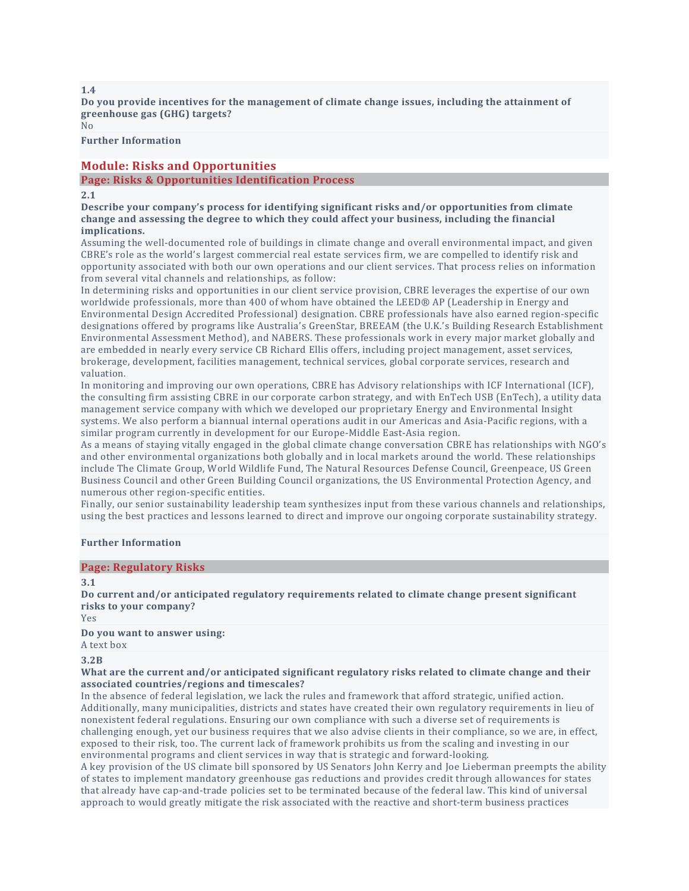**Do you provide incentives for the management of climate change issues, including the attainment of greenhouse gas (GHG) targets?**  $N<sub>0</sub>$ 

**Further Information**

# **Module: Risks and Opportunities**

#### **Page: Risks & Opportunities Identification Process**

#### **2.1**

**Describe your company's process for identifying significant risks and/or opportunities from climate change and assessing the degree to which they could affect your business, including the financial implications.**

Assuming the well-documented role of buildings in climate change and overall environmental impact, and given CBRE's role as the world's largest commercial real estate services firm, we are compelled to identify risk and opportunity associated with both our own operations and our client services. That process relies on information from several vital channels and relationships, as follow:

In determining risks and opportunities in our client service provision, CBRE leverages the expertise of our own worldwide professionals, more than 400 of whom have obtained the LEED® AP (Leadership in Energy and Environmental Design Accredited Professional) designation. CBRE professionals have also earned region-specific designations offered by programs like Australia's GreenStar, BREEAM (the U.K.'s Building Research Establishment Environmental Assessment Method), and NABERS. These professionals work in every major market globally and are embedded in nearly every service CB Richard Ellis offers, including project management, asset services, brokerage, development, facilities management, technical services, global corporate services, research and valuation.

In monitoring and improving our own operations, CBRE has Advisory relationships with ICF International (ICF), the consulting firm assisting CBRE in our corporate carbon strategy, and with EnTech USB (EnTech), a utility data management service company with which we developed our proprietary Energy and Environmental Insight systems. We also perform a biannual internal operations audit in our Americas and Asia-Pacific regions, with a similar program currently in development for our Europe-Middle East-Asia region.

As a means of staying vitally engaged in the global climate change conversation CBRE has relationships with NGO's and other environmental organizations both globally and in local markets around the world. These relationships include The Climate Group, World Wildlife Fund, The Natural Resources Defense Council, Greenpeace, US Green Business Council and other Green Building Council organizations, the US Environmental Protection Agency, and numerous other region-specific entities.

Finally, our senior sustainability leadership team synthesizes input from these various channels and relationships, using the best practices and lessons learned to direct and improve our ongoing corporate sustainability strategy.

#### **Further Information**

#### **Page: Regulatory Risks**

#### **3.1**

**Do current and/or anticipated regulatory requirements related to climate change present significant risks to your company?**

Yes

**Do you want to answer using:**

A text box

#### **3.2B**

#### **What are the current and/or anticipated significant regulatory risks related to climate change and their associated countries/regions and timescales?**

In the absence of federal legislation, we lack the rules and framework that afford strategic, unified action. Additionally, many municipalities, districts and states have created their own regulatory requirements in lieu of nonexistent federal regulations. Ensuring our own compliance with such a diverse set of requirements is challenging enough, yet our business requires that we also advise clients in their compliance, so we are, in effect, exposed to their risk, too. The current lack of framework prohibits us from the scaling and investing in our environmental programs and client services in way that is strategic and forward-looking.

A key provision of the US climate bill sponsored by US Senators John Kerry and Joe Lieberman preempts the ability of states to implement mandatory greenhouse gas reductions and provides credit through allowances for states that already have cap-and-trade policies set to be terminated because of the federal law. This kind of universal approach to would greatly mitigate the risk associated with the reactive and short-term business practices

**1.4**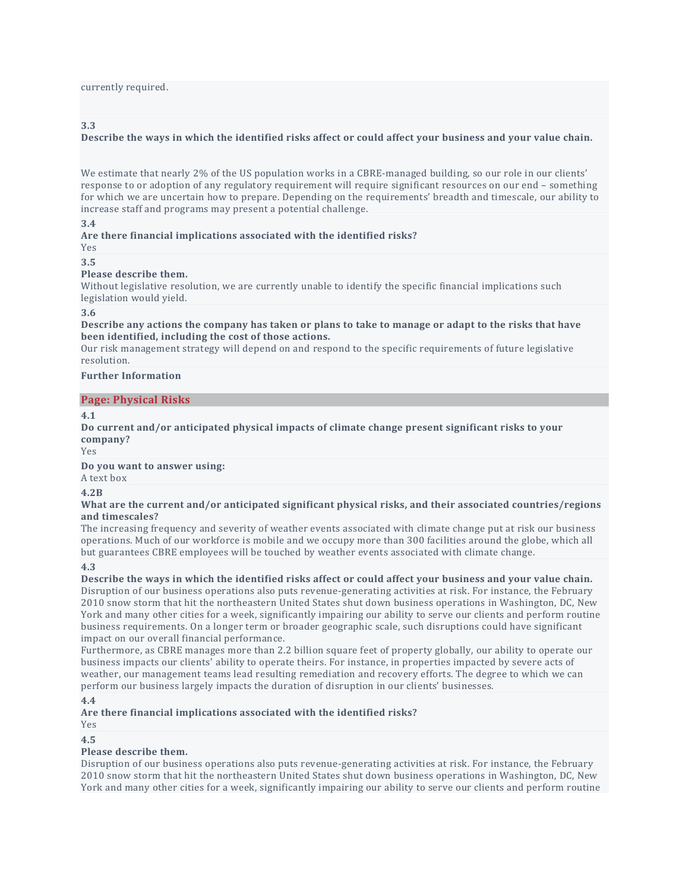currently required.

#### **3.3**

#### Describe the ways in which the identified risks affect or could affect your business and your value chain.

We estimate that nearly 2% of the US population works in a CBRE-managed building, so our role in our clients' response to or adoption of any regulatory requirement will require significant resources on our end – something for which we are uncertain how to prepare. Depending on the requirements' breadth and timescale, our ability to increase staff and programs may present a potential challenge.

#### **3.4**

### **Are there financial implications associated with the identified risks?**

Yes

### **3.5**

#### **Please describe them.**

Without legislative resolution, we are currently unable to identify the specific financial implications such legislation would yield.

#### **3.6**

Describe any actions the company has taken or plans to take to manage or adapt to the risks that have **been identified, including the cost of those actions.**

Our risk management strategy will depend on and respond to the specific requirements of future legislative resolution.

#### **Further Information**

#### **Page: Physical Risks**

#### **4.1**

**Do current and/or anticipated physical impacts of climate change present significant risks to your company?**

Yes

#### **Do you want to answer using:**

A text box

#### **4.2B**

**What are the current and/or anticipated significant physical risks, and their associated countries/regions and timescales?**

The increasing frequency and severity of weather events associated with climate change put at risk our business operations. Much of our workforce is mobile and we occupy more than 300 facilities around the globe, which all but guarantees CBRE employees will be touched by weather events associated with climate change.

#### **4.3**

Describe the ways in which the identified risks affect or could affect your business and your value chain. Disruption of our business operations also puts revenue-generating activities at risk. For instance, the February 2010 snow storm that hit the northeastern United States shut down business operations in Washington, DC, New York and many other cities for a week, significantly impairing our ability to serve our clients and perform routine business requirements. On a longer term or broader geographic scale, such disruptions could have significant impact on our overall financial performance.

Furthermore, as CBRE manages more than 2.2 billion square feet of property globally, our ability to operate our business impacts our clients' ability to operate theirs. For instance, in properties impacted by severe acts of weather, our management teams lead resulting remediation and recovery efforts. The degree to which we can perform our business largely impacts the duration of disruption in our clients' businesses.

#### **4.4**

**Are there financial implications associated with the identified risks?**

Yes

#### **4.5**

#### **Please describe them.**

Disruption of our business operations also puts revenue-generating activities at risk. For instance, the February 2010 snow storm that hit the northeastern United States shut down business operations in Washington, DC, New York and many other cities for a week, significantly impairing our ability to serve our clients and perform routine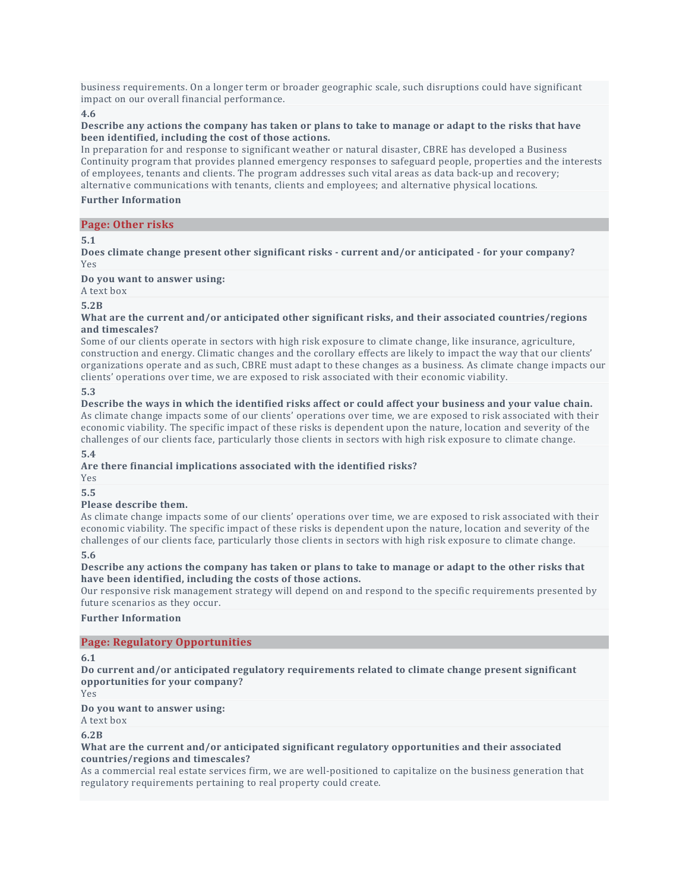business requirements. On a longer term or broader geographic scale, such disruptions could have significant impact on our overall financial performance.

**4.6**

#### Describe any actions the company has taken or plans to take to manage or adapt to the risks that have **been identified, including the cost of those actions.**

In preparation for and response to significant weather or natural disaster, CBRE has developed a Business Continuity program that provides planned emergency responses to safeguard people, properties and the interests of employees, tenants and clients. The program addresses such vital areas as data back-up and recovery; alternative communications with tenants, clients and employees; and alternative physical locations.

#### **Further Information**

#### **Page: Other risks**

**5.1**

**Does climate change present other significant risks - current and/or anticipated - for your company?** Yes

#### **Do you want to answer using:**

A text box

**5.2B**

#### **What are the current and/or anticipated other significant risks, and their associated countries/regions and timescales?**

Some of our clients operate in sectors with high risk exposure to climate change, like insurance, agriculture, construction and energy. Climatic changes and the corollary effects are likely to impact the way that our clients' organizations operate and as such, CBRE must adapt to these changes as a business. As climate change impacts our clients' operations over time, we are exposed to risk associated with their economic viability.

**5.3**

#### Describe the ways in which the identified risks affect or could affect your business and your value chain.

As climate change impacts some of our clients' operations over time, we are exposed to risk associated with their economic viability. The specific impact of these risks is dependent upon the nature, location and severity of the challenges of our clients face, particularly those clients in sectors with high risk exposure to climate change.

**5.4**

#### **Are there financial implications associated with the identified risks?**

Yes

# **5.5**

#### **Please describe them.**

As climate change impacts some of our clients' operations over time, we are exposed to risk associated with their economic viability. The specific impact of these risks is dependent upon the nature, location and severity of the challenges of our clients face, particularly those clients in sectors with high risk exposure to climate change. **5.6**

#### Describe any actions the company has taken or plans to take to manage or adapt to the other risks that **have been identified, including the costs of those actions.**

Our responsive risk management strategy will depend on and respond to the specific requirements presented by future scenarios as they occur.

#### **Further Information**

#### **Page: Regulatory Opportunities**

**6.1**

**Do current and/or anticipated regulatory requirements related to climate change present significant opportunities for your company?**

Yes

#### **Do you want to answer using:**

A text box

**6.2B**

#### **What are the current and/or anticipated significant regulatory opportunities and their associated countries/regions and timescales?**

As a commercial real estate services firm, we are well-positioned to capitalize on the business generation that regulatory requirements pertaining to real property could create.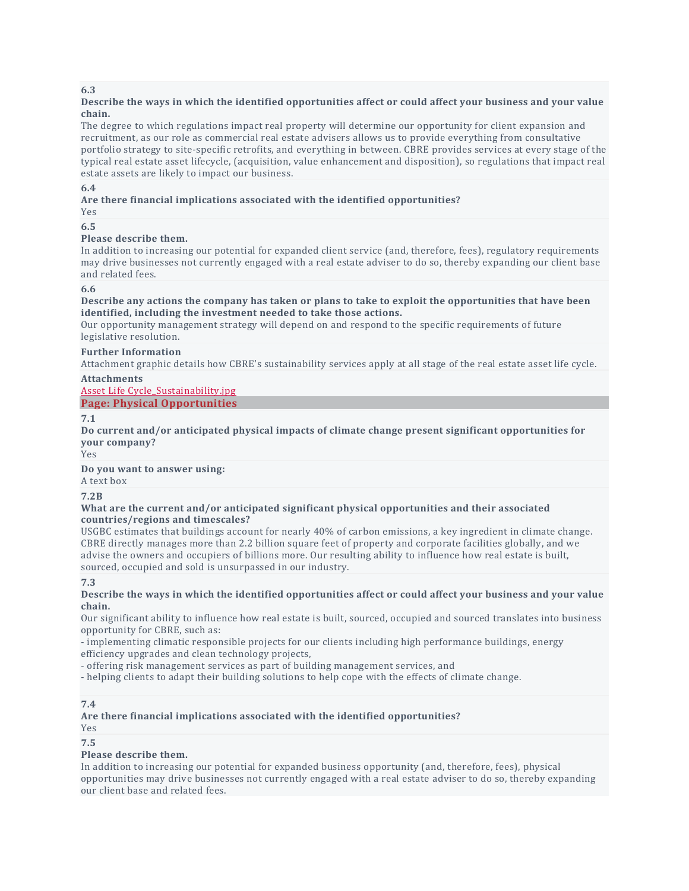#### Describe the ways in which the identified opportunities affect or could affect your business and your value **chain.**

The degree to which regulations impact real property will determine our opportunity for client expansion and recruitment, as our role as commercial real estate advisers allows us to provide everything from consultative portfolio strategy to site-specific retrofits, and everything in between. CBRE provides services at every stage of the typical real estate asset lifecycle, (acquisition, value enhancement and disposition), so regulations that impact real estate assets are likely to impact our business.

#### **6.4**

#### **Are there financial implications associated with the identified opportunities?**

# Yes

### **6.5**

#### **Please describe them.**

In addition to increasing our potential for expanded client service (and, therefore, fees), regulatory requirements may drive businesses not currently engaged with a real estate adviser to do so, thereby expanding our client base and related fees.

#### **6.6**

#### Describe any actions the company has taken or plans to take to exploit the opportunities that have been **identified, including the investment needed to take those actions.**

Our opportunity management strategy will depend on and respond to the specific requirements of future legislative resolution.

### **Further Information**

Attachment graphic details how CBRE's sustainability services apply at all stage of the real estate asset life cycle.

#### **Attachments**

Asset Life Cycle Sustainability.jpg

# **Page: Physical Opportunities**

**7.1**

**Do current and/or anticipated physical impacts of climate change present significant opportunities for your company?**

Yes

**Do you want to answer using:**

A text box

#### **7.2B**

#### **What are the current and/or anticipated significant physical opportunities and their associated countries/regions and timescales?**

USGBC estimates that buildings account for nearly 40% of carbon emissions, a key ingredient in climate change. CBRE directly manages more than 2.2 billion square feet of property and corporate facilities globally, and we advise the owners and occupiers of billions more. Our resulting ability to influence how real estate is built, sourced, occupied and sold is unsurpassed in our industry.

#### **7.3**

#### Describe the ways in which the identified opportunities affect or could affect your business and your value **chain.**

Our significant ability to influence how real estate is built, sourced, occupied and sourced translates into business opportunity for CBRE, such as:

- implementing climatic responsible projects for our clients including high performance buildings, energy efficiency upgrades and clean technology projects,

- offering risk management services as part of building management services, and

- helping clients to adapt their building solutions to help cope with the effects of climate change.

#### **7.4**

#### **Are there financial implications associated with the identified opportunities?**

Yes

**7.5**

#### **Please describe them.**

In addition to increasing our potential for expanded business opportunity (and, therefore, fees), physical opportunities may drive businesses not currently engaged with a real estate adviser to do so, thereby expanding our client base and related fees.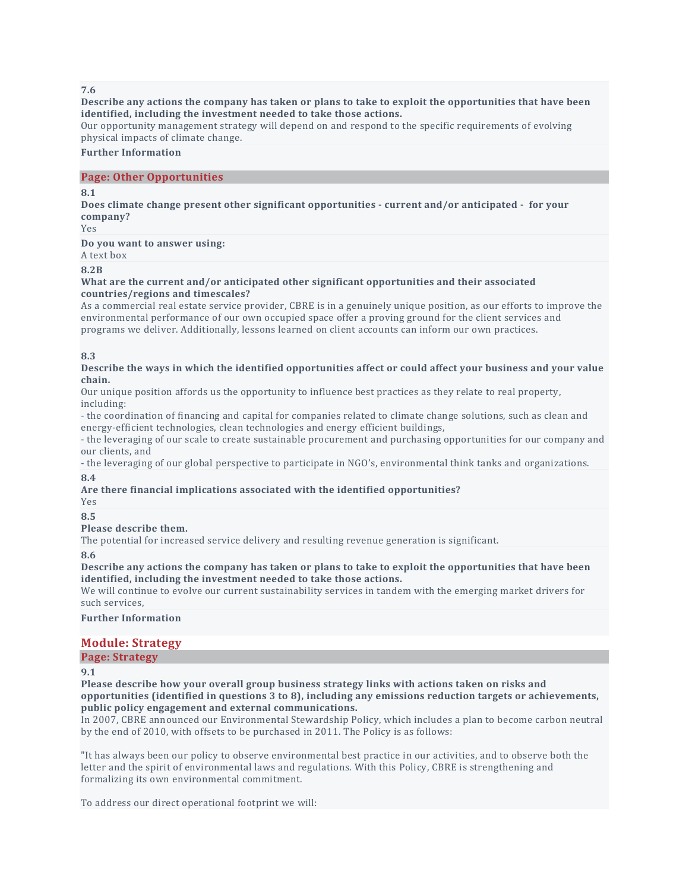#### Describe any actions the company has taken or plans to take to exploit the opportunities that have been **identified, including the investment needed to take those actions.**

Our opportunity management strategy will depend on and respond to the specific requirements of evolving physical impacts of climate change.

#### **Further Information**

#### **Page: Other Opportunities**

#### **8.1**

**Does climate change present other significant opportunities - current and/or anticipated - for your company?**

Yes

**Do you want to answer using:**

A text box

#### **8.2B**

#### **What are the current and/or anticipated other significant opportunities and their associated countries/regions and timescales?**

As a commercial real estate service provider, CBRE is in a genuinely unique position, as our efforts to improve the environmental performance of our own occupied space offer a proving ground for the client services and programs we deliver. Additionally, lessons learned on client accounts can inform our own practices.

#### **8.3**

#### Describe the ways in which the identified opportunities affect or could affect your business and your value **chain.**

Our unique position affords us the opportunity to influence best practices as they relate to real property, including:

- the coordination of financing and capital for companies related to climate change solutions, such as clean and energy-efficient technologies, clean technologies and energy efficient buildings,

- the leveraging of our scale to create sustainable procurement and purchasing opportunities for our company and our clients, and

- the leveraging of our global perspective to participate in NGO's, environmental think tanks and organizations. **8.4**

#### **Are there financial implications associated with the identified opportunities?**

Yes

# **8.5**

# **Please describe them.**

The potential for increased service delivery and resulting revenue generation is significant.

**8.6**

Describe any actions the company has taken or plans to take to exploit the opportunities that have been **identified, including the investment needed to take those actions.**

We will continue to evolve our current sustainability services in tandem with the emerging market drivers for such services,

**Further Information**

# **Module: Strategy**

# **Page: Strategy**

**9.1**

**Please describe how your overall group business strategy links with actions taken on risks and opportunities (identified in questions 3 to 8), including any emissions reduction targets or achievements, public policy engagement and external communications.**

In 2007, CBRE announced our Environmental Stewardship Policy, which includes a plan to become carbon neutral by the end of 2010, with offsets to be purchased in 2011. The Policy is as follows:

"It has always been our policy to observe environmental best practice in our activities, and to observe both the letter and the spirit of environmental laws and regulations. With this Policy, CBRE is strengthening and formalizing its own environmental commitment.

To address our direct operational footprint we will: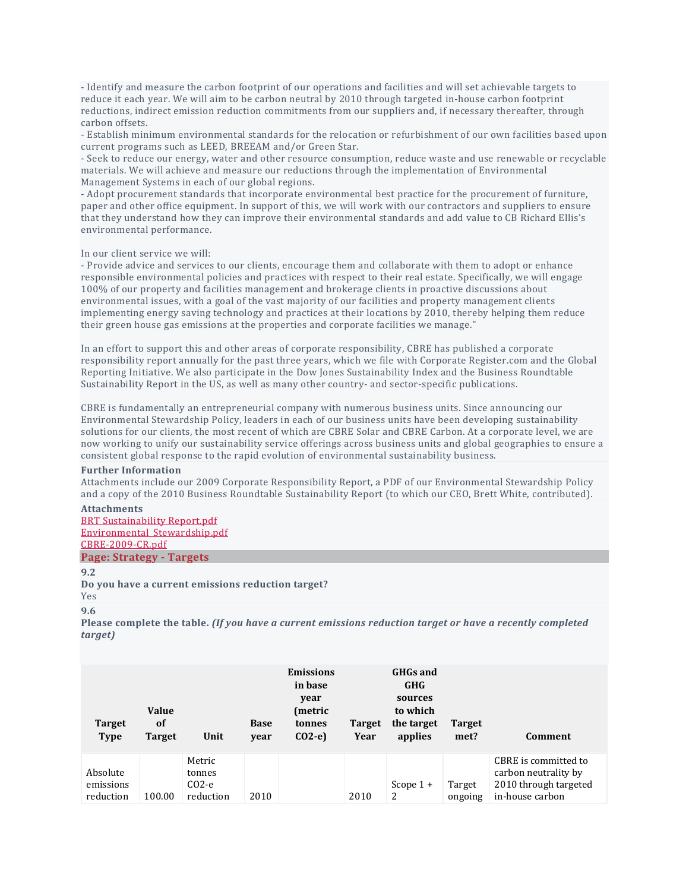- Identify and measure the carbon footprint of our operations and facilities and will set achievable targets to reduce it each year. We will aim to be carbon neutral by 2010 through targeted in-house carbon footprint reductions, indirect emission reduction commitments from our suppliers and, if necessary thereafter, through carbon offsets.

- Establish minimum environmental standards for the relocation or refurbishment of our own facilities based upon current programs such as LEED, BREEAM and/or Green Star.

- Seek to reduce our energy, water and other resource consumption, reduce waste and use renewable or recyclable materials. We will achieve and measure our reductions through the implementation of Environmental Management Systems in each of our global regions.

- Adopt procurement standards that incorporate environmental best practice for the procurement of furniture, paper and other office equipment. In support of this, we will work with our contractors and suppliers to ensure that they understand how they can improve their environmental standards and add value to CB Richard Ellis's environmental performance.

#### In our client service we will:

- Provide advice and services to our clients, encourage them and collaborate with them to adopt or enhance responsible environmental policies and practices with respect to their real estate. Specifically, we will engage 100% of our property and facilities management and brokerage clients in proactive discussions about environmental issues, with a goal of the vast majority of our facilities and property management clients implementing energy saving technology and practices at their locations by 2010, thereby helping them reduce their green house gas emissions at the properties and corporate facilities we manage."

In an effort to support this and other areas of corporate responsibility, CBRE has published a corporate responsibility report annually for the past three years, which we file with Corporate Register.com and the Global Reporting Initiative. We also participate in the Dow Jones Sustainability Index and the Business Roundtable Sustainability Report in the US, as well as many other country- and sector-specific publications.

CBRE is fundamentally an entrepreneurial company with numerous business units. Since announcing our Environmental Stewardship Policy, leaders in each of our business units have been developing sustainability solutions for our clients, the most recent of which are CBRE Solar and CBRE Carbon. At a corporate level, we are now working to unify our sustainability service offerings across business units and global geographies to ensure a consistent global response to the rapid evolution of environmental sustainability business.

#### **Further Information**

Attachments include our 2009 Corporate Responsibility Report, a PDF of our Environmental Stewardship Policy and a copy of the 2010 Business Roundtable Sustainability Report (to which our CEO, Brett White, contributed).

#### **Attachments**

BRT [Sustainability](https://www.cdp.net/Sites/2010/85/2885/Investor%20CDP%202010/Shared%20Documents/Attachments/InvestorCDP2010/Strategy-Strategy/BRT%20Sustainability%20Report.pdf) Report.pdf [Environmental\\_Stewardship.pdf](https://www.cdp.net/Sites/2010/85/2885/Investor%20CDP%202010/Shared%20Documents/Attachments/InvestorCDP2010/Strategy-Strategy/Environmental_Stewardship.pdf) [CBRE-2009-CR.pdf](https://www.cdp.net/Sites/2010/85/2885/Investor%20CDP%202010/Shared%20Documents/Attachments/InvestorCDP2010/Strategy-Strategy/CBRE-2009-CR.pdf)

# **Page: Strategy - Targets**

**9.2**

**Do you have a current emissions reduction target?**

```
Yes
```
**9.6**

**Please complete the table.** *(If you have a current emissions reduction target or have a recently completed target)*

| <b>Target</b><br><b>Type</b>       | <b>Value</b><br><sub>of</sub><br><b>Target</b> | Unit                                     | <b>Base</b><br>year | <b>Emissions</b><br>in base<br>year<br>(metric<br>tonnes<br>$CO2-e$ | <b>Target</b><br>Year | <b>GHGs and</b><br><b>GHG</b><br>sources<br>to which<br>the target<br>applies | <b>Target</b><br>met? | Comment                                                                                  |
|------------------------------------|------------------------------------------------|------------------------------------------|---------------------|---------------------------------------------------------------------|-----------------------|-------------------------------------------------------------------------------|-----------------------|------------------------------------------------------------------------------------------|
| Absolute<br>emissions<br>reduction | 100.00                                         | Metric<br>tonnes<br>$CO2-e$<br>reduction | 2010                |                                                                     | 2010                  | Scope $1 +$<br>2                                                              | Target<br>ongoing     | CBRE is committed to<br>carbon neutrality by<br>2010 through targeted<br>in-house carbon |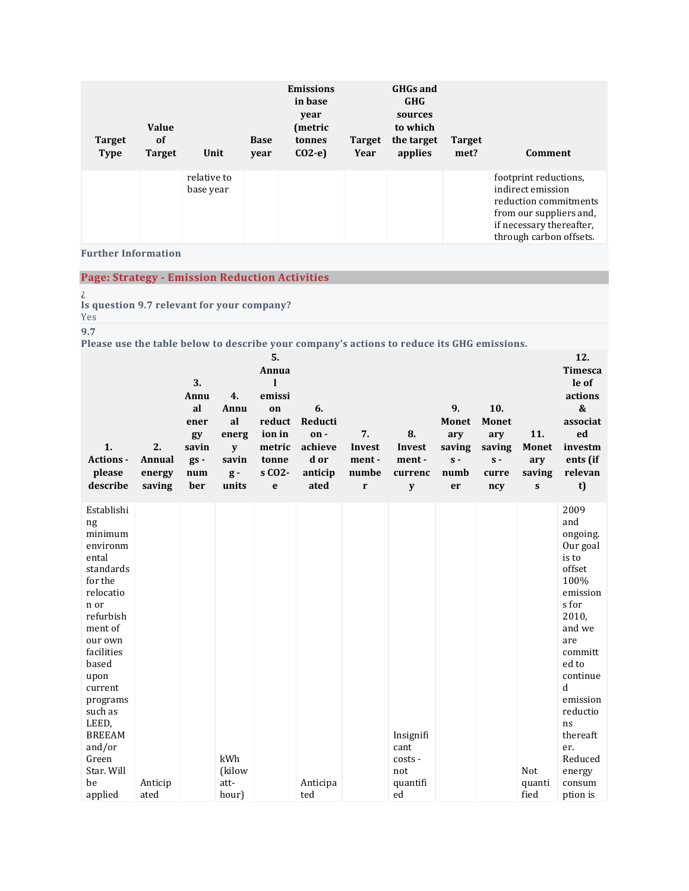| <b>Target</b><br><b>Type</b> | <b>Value</b><br>of<br><b>Target</b> | Unit                     | <b>Base</b><br>year | <b>Emissions</b><br>in base<br>year<br>(metric<br>tonnes<br>$CO2-e$ | <b>Target</b><br>Year | <b>GHGs and</b><br><b>GHG</b><br>sources<br>to which<br>the target<br>applies | <b>Target</b><br>met? | Comment                                                                                                                                               |
|------------------------------|-------------------------------------|--------------------------|---------------------|---------------------------------------------------------------------|-----------------------|-------------------------------------------------------------------------------|-----------------------|-------------------------------------------------------------------------------------------------------------------------------------------------------|
|                              |                                     | relative to<br>base year |                     |                                                                     |                       |                                                                               |                       | footprint reductions,<br>indirect emission<br>reduction commitments<br>from our suppliers and,<br>if necessary thereafter,<br>through carbon offsets. |

**Further Information**

**Page: Strategy - Emission Reduction Activities**

**¿**

**Is question 9.7 relevant for your company?**

Yes

**9.7**

**Please use the table below to describe your company's actions to reduce its GHG emissions.**

| 1.<br>Actions -<br>please<br>describe                                                                                                                                                                                                                                         | 2.<br>Annual<br>energy<br>saving | 3.<br>Annu<br>al<br>ener<br>gy<br>savin<br>$gs -$<br>num<br>ber | 4.<br>Annu<br>al<br>energ<br>y<br>savin<br>$g -$<br>units | 5.<br>Annua<br>I<br>emissi<br>on<br>reduct<br>ion in<br>metric<br>tonne<br>s CO <sub>2</sub> -<br>e | 6.<br>Reducti<br>on-<br>achieve<br>d or<br>anticip<br>ated | 7.<br>Invest<br>ment-<br>numbe<br>r | 8.<br>Invest<br>ment-<br>currenc<br>y                 | 9.<br><b>Monet</b><br>ary<br>saving<br>$s -$<br>numb<br>er | 10.<br><b>Monet</b><br>ary<br>saving<br>$s -$<br>curre<br>ncy | 11.<br><b>Monet</b><br>ary<br>saving<br>S | 12.<br><b>Timesca</b><br>le of<br>actions<br>$\pmb{\&}$<br>associat<br>ed<br>investm<br>ents (if<br>relevan<br>t)                                                                                                                              |
|-------------------------------------------------------------------------------------------------------------------------------------------------------------------------------------------------------------------------------------------------------------------------------|----------------------------------|-----------------------------------------------------------------|-----------------------------------------------------------|-----------------------------------------------------------------------------------------------------|------------------------------------------------------------|-------------------------------------|-------------------------------------------------------|------------------------------------------------------------|---------------------------------------------------------------|-------------------------------------------|------------------------------------------------------------------------------------------------------------------------------------------------------------------------------------------------------------------------------------------------|
| Establishi<br>ng<br>minimum<br>environm<br>ental<br>standards<br>for the<br>relocatio<br>n or<br>refurbish<br>ment of<br>our own<br>facilities<br>based<br>upon<br>current<br>programs<br>such as<br>LEED,<br><b>BREEAM</b><br>and/or<br>Green<br>Star. Will<br>be<br>applied | Anticip<br>ated                  |                                                                 | kWh<br>(kilow<br>att-<br>hour)                            |                                                                                                     | Anticipa<br>ted                                            |                                     | Insignifi<br>cant<br>costs -<br>not<br>quantifi<br>ed |                                                            |                                                               | Not<br>quanti<br>fied                     | 2009<br>and<br>ongoing.<br>Our goal<br>is to<br>offset<br>100%<br>emission<br>s for<br>2010,<br>and we<br>are<br>committ<br>ed to<br>continue<br>d<br>emission<br>reductio<br>ns<br>thereaft<br>er.<br>Reduced<br>energy<br>consum<br>ption is |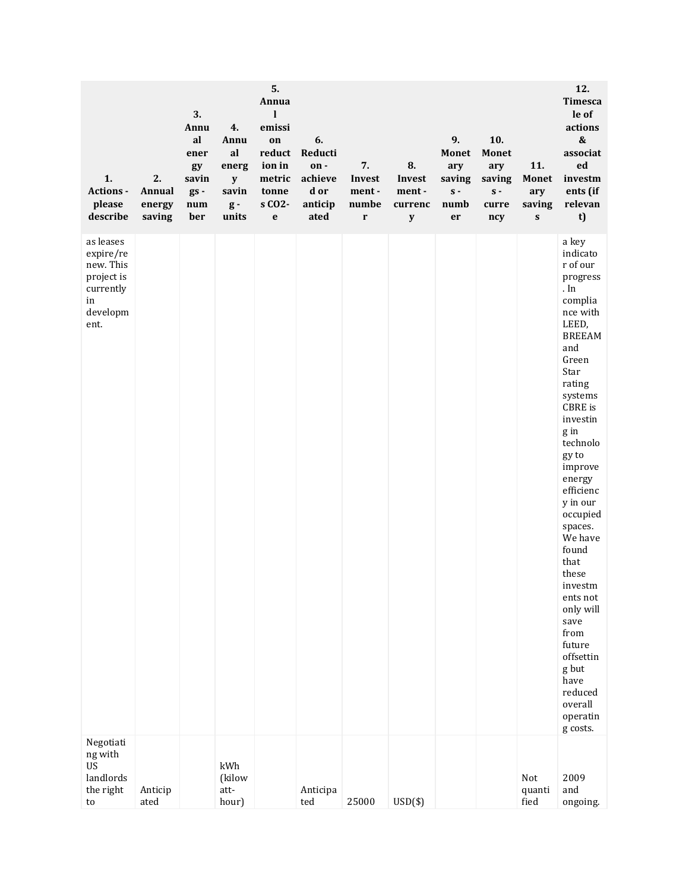| 1.<br>Actions -<br>please<br>describe                                                    | 2.<br>Annual<br>energy<br>saving | 3.<br>Annu<br>al<br>ener<br>gy<br>savin<br>$gs -$<br>num<br>ber | 4.<br>Annu<br>al<br>energ<br>${\bf y}$<br>savin<br>$g -$<br>units | 5.<br>Annua<br>1<br>emissi<br>on<br>reduct<br>ion in<br>metric<br>tonne<br>s CO <sub>2</sub> -<br>$\mathbf{e}$ | 6.<br>Reducti<br>on-<br>achieve<br>d or<br>anticip<br>ated | 7.<br>Invest<br>ment-<br>numbe<br>$\mathbf r$ | 8.<br>Invest<br>ment-<br>currenc<br>$\mathbf y$ | 9.<br><b>Monet</b><br>ary<br>saving<br>$\mathbf{s}$ -<br>numb<br>er | 10.<br><b>Monet</b><br>ary<br>saving<br>$s -$<br>curre<br>ncy | 11.<br><b>Monet</b><br>ary<br>saving<br>$\mathbf{s}$ | 12.<br><b>Timesca</b><br>le of<br>actions<br>$\pmb{\&}$<br>associat<br>ed<br>investm<br>ents (if<br>relevan<br>t)                                                                                                                                                                                                                                                                                                                                       |
|------------------------------------------------------------------------------------------|----------------------------------|-----------------------------------------------------------------|-------------------------------------------------------------------|----------------------------------------------------------------------------------------------------------------|------------------------------------------------------------|-----------------------------------------------|-------------------------------------------------|---------------------------------------------------------------------|---------------------------------------------------------------|------------------------------------------------------|---------------------------------------------------------------------------------------------------------------------------------------------------------------------------------------------------------------------------------------------------------------------------------------------------------------------------------------------------------------------------------------------------------------------------------------------------------|
| as leases<br>expire/re<br>new. This<br>project is<br>currently<br>in<br>developm<br>ent. |                                  |                                                                 |                                                                   |                                                                                                                |                                                            |                                               |                                                 |                                                                     |                                                               |                                                      | a key<br>indicato<br>r of our<br>progress<br>. In<br>complia<br>nce with<br>LEED,<br><b>BREEAM</b><br>and<br>Green<br>Star<br>rating<br>systems<br>CBRE is<br>investin<br>g in<br>technolo<br>gy to<br>improve<br>energy<br>efficienc<br>y in our<br>occupied<br>spaces.<br>We have<br>found<br>that<br>these<br>investm<br>ents not<br>only will<br>save<br>from<br>future<br>offsettin<br>g but<br>have<br>reduced<br>overall<br>operatin<br>g costs. |
| Negotiati<br>ng with<br><b>US</b><br>landlords<br>the right<br>to                        | Anticip<br>ated                  |                                                                 | kWh<br>(kilow<br>att-<br>hour)                                    |                                                                                                                | Anticipa<br>ted                                            | 25000                                         | $USD(*)$                                        |                                                                     |                                                               | Not<br>quanti<br>fied                                | 2009<br>and<br>ongoing.                                                                                                                                                                                                                                                                                                                                                                                                                                 |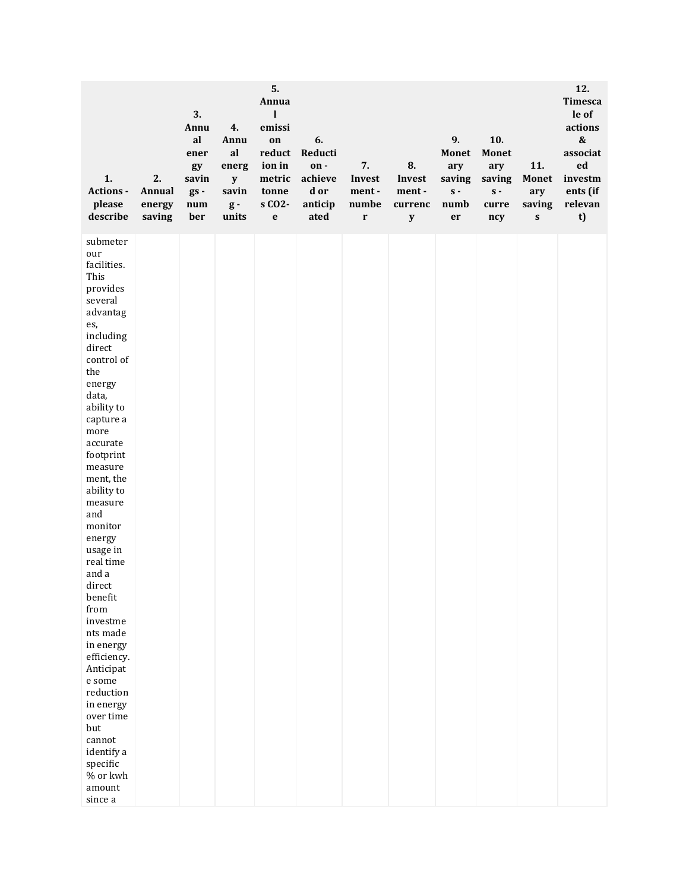| 1.<br>Actions -<br>please<br>describe                                                                                                                                                                                                                                                                                                                                                                                                                                                                                                                 | 2.<br>Annual<br>energy<br>saving | 3.<br>Annu<br>al<br>ener<br>gy<br>savin<br>$gs -$<br>num<br>ber | 4.<br>Annu<br>al<br>energ<br>${\bf y}$<br>savin<br>$g -$<br>units | 5.<br>Annua<br>1<br>emissi<br>on<br>reduct<br>ion in<br>metric<br>tonne<br>s CO <sub>2</sub> -<br>e | 6.<br>Reducti<br>on-<br>achieve<br>d or<br>anticip<br>ated | 7.<br>Invest<br>ment-<br>numbe<br>$\mathbf r$ | 8.<br>Invest<br>ment-<br>currenc<br>$\mathbf y$ | 9.<br><b>Monet</b><br>ary<br>saving<br>$\mathbf S$ -<br>numb<br>er | 10.<br><b>Monet</b><br>ary<br>saving<br>$\mathbf S$ -<br>curre<br>ncy | 11.<br><b>Monet</b><br>ary<br>saving<br>${\bf S}$ | 12.<br><b>Timesca</b><br>le of<br>actions<br>$\pmb{\&}$<br>associat<br>ed<br>investm<br>ents (if<br>relevan<br>t) |
|-------------------------------------------------------------------------------------------------------------------------------------------------------------------------------------------------------------------------------------------------------------------------------------------------------------------------------------------------------------------------------------------------------------------------------------------------------------------------------------------------------------------------------------------------------|----------------------------------|-----------------------------------------------------------------|-------------------------------------------------------------------|-----------------------------------------------------------------------------------------------------|------------------------------------------------------------|-----------------------------------------------|-------------------------------------------------|--------------------------------------------------------------------|-----------------------------------------------------------------------|---------------------------------------------------|-------------------------------------------------------------------------------------------------------------------|
| submeter<br>our<br>facilities.<br>This<br>provides<br>several<br>advantag<br>es,<br>including<br>direct<br>control of<br>the<br>energy<br>data,<br>ability to<br>capture a<br>more<br>accurate<br>footprint<br>measure<br>ment, the<br>ability to<br>measure<br>and<br>monitor<br>energy<br>usage in<br>real time<br>and a<br>direct<br>benefit<br>from<br>investme<br>nts made<br>in energy<br>efficiency.<br>Anticipat<br>e some<br>reduction<br>in energy<br>over time<br>but<br>cannot<br>identify a<br>specific<br>% or kwh<br>amount<br>since a |                                  |                                                                 |                                                                   |                                                                                                     |                                                            |                                               |                                                 |                                                                    |                                                                       |                                                   |                                                                                                                   |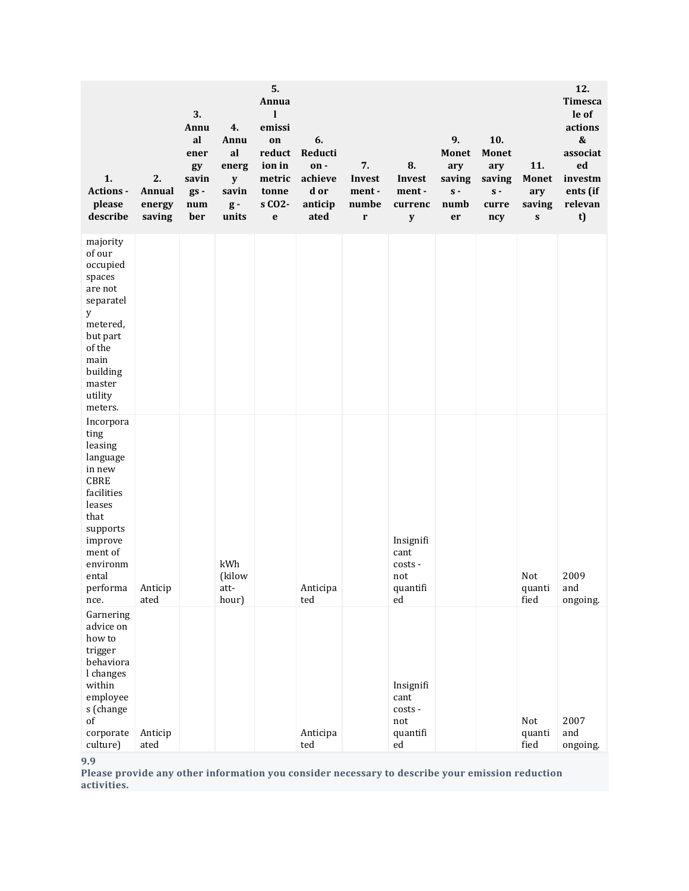| 1.<br>Actions -<br>please<br>describe                                                                                                                                        | 2.<br>Annual<br>energy<br>saving | 3.<br>Annu<br>al<br>ener<br>gy<br>savin<br>gs -<br>num<br>ber | 4.<br>Annu<br>al<br>energ<br>y<br>savin<br>$g -$<br>units | 5.<br>Annua<br>l<br>emissi<br>on<br>reduct<br>ion in<br>metric<br>tonne<br>s CO <sub>2</sub> -<br>$\mathbf e$ | 6.<br>Reducti<br>on-<br>achieve<br>d or<br>anticip<br>ated | 7.<br>Invest<br>ment-<br>numbe<br>$\mathbf r$ | 8.<br>Invest<br>ment-<br>currenc<br>$\mathbf y$               | 9.<br><b>Monet</b><br>ary<br>saving<br>$s -$<br>numb<br>er | 10.<br><b>Monet</b><br>ary<br>saving<br>$\mathbf S$ -<br>curre<br>ncy | 11.<br><b>Monet</b><br>ary<br>saving<br>${\bf S}$ | 12.<br><b>Timesca</b><br>le of<br>actions<br>&<br>associat<br>ed<br>investm<br>ents (if<br>relevan<br>t) |
|------------------------------------------------------------------------------------------------------------------------------------------------------------------------------|----------------------------------|---------------------------------------------------------------|-----------------------------------------------------------|---------------------------------------------------------------------------------------------------------------|------------------------------------------------------------|-----------------------------------------------|---------------------------------------------------------------|------------------------------------------------------------|-----------------------------------------------------------------------|---------------------------------------------------|----------------------------------------------------------------------------------------------------------|
| majority<br>of our<br>occupied<br>spaces<br>are not<br>separatel<br>У<br>metered,<br>but part<br>of the<br>main<br>building<br>master<br>utility<br>meters.                  |                                  |                                                               |                                                           |                                                                                                               |                                                            |                                               |                                                               |                                                            |                                                                       |                                                   |                                                                                                          |
| Incorpora<br>ting<br>leasing<br>language<br>in new<br><b>CBRE</b><br>facilities<br>leases<br>that<br>supports<br>improve<br>ment of<br>environm<br>ental<br>performa<br>nce. | Anticip<br>ated                  |                                                               | kWh<br>(kilow<br>att-<br>hour)                            |                                                                                                               | Anticipa<br>ted                                            |                                               | Insignifi<br>cant<br>costs -<br>not<br>quantifi<br>ed         |                                                            |                                                                       | Not<br>quanti<br>fied                             | 2009<br>and<br>ongoing.                                                                                  |
| Garnering<br>advice on<br>how to<br>trigger<br>behaviora<br>l changes<br>within<br>employee<br>s (change<br>of<br>corporate<br>culture)                                      | Anticip<br>ated                  |                                                               |                                                           |                                                                                                               | Anticipa<br>ted                                            |                                               | Insignifi<br>cant<br>costs -<br>not<br>quantifi<br>${\rm ed}$ |                                                            |                                                                       | Not<br>quanti<br>fied                             | 2007<br>and<br>ongoing.                                                                                  |

**9.9**

**Please provide any other information you consider necessary to describe your emission reduction activities.**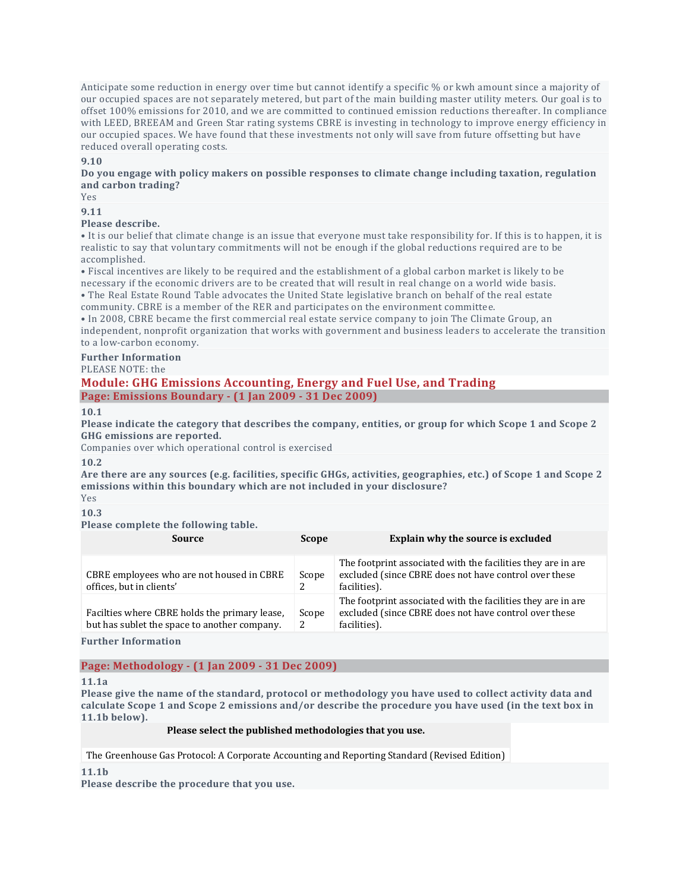Anticipate some reduction in energy over time but cannot identify a specific % or kwh amount since a majority of our occupied spaces are not separately metered, but part of the main building master utility meters. Our goal is to offset 100% emissions for 2010, and we are committed to continued emission reductions thereafter. In compliance with LEED, BREEAM and Green Star rating systems CBRE is investing in technology to improve energy efficiency in our occupied spaces. We have found that these investments not only will save from future offsetting but have reduced overall operating costs.

#### **9.10**

**Do you engage with policy makers on possible responses to climate change including taxation, regulation and carbon trading?**

Yes

**9.11**

#### **Please describe.**

• It is our belief that climate change is an issue that everyone must take responsibility for. If this is to happen, it is realistic to say that voluntary commitments will not be enough if the global reductions required are to be accomplished.

• Fiscal incentives are likely to be required and the establishment of a global carbon market is likely to be necessary if the economic drivers are to be created that will result in real change on a world wide basis. • The Real Estate Round Table advocates the United State legislative branch on behalf of the real estate community. CBRE is a member of the RER and participates on the environment committee.

• In 2008, CBRE became the first commercial real estate service company to join The Climate Group, an independent, nonprofit organization that works with government and business leaders to accelerate the transition to a low-carbon economy.

# **Further Information**

PLEASE NOTE: the

#### **Module: GHG Emissions Accounting, Energy and Fuel Use, and Trading Page: Emissions Boundary - (1 Jan 2009 - 31 Dec 2009)**

**10.1**

Please indicate the category that describes the company, entities, or group for which Scope 1 and Scope 2 **GHG emissions are reported.**

Companies over which operational control is exercised

#### **10.2**

Are there are any sources (e.g. facilities, specific GHGs, activities, geographies, etc.) of Scope 1 and Scope 2 **emissions within this boundary which are not included in your disclosure?**

Yes

#### **10.3**

#### **Please complete the following table.**

| Source                                                                                        | <b>Scope</b> | Explain why the source is excluded                                                                                                     |
|-----------------------------------------------------------------------------------------------|--------------|----------------------------------------------------------------------------------------------------------------------------------------|
| CBRE employees who are not housed in CBRE<br>offices, but in clients'                         | Scope<br>2   | The footprint associated with the facilities they are in are<br>excluded (since CBRE does not have control over these<br>facilities).  |
| Facilties where CBRE holds the primary lease.<br>but has sublet the space to another company. | Scope<br>2   | The footprint associated with the facilities they are in are.<br>excluded (since CBRE does not have control over these<br>facilities). |
|                                                                                               |              |                                                                                                                                        |

**Further Information**

# **Page: Methodology - (1 Jan 2009 - 31 Dec 2009)**

#### **11.1a**

Please give the name of the standard, protocol or methodology you have used to collect activity data and calculate Scope 1 and Scope 2 emissions and/or describe the procedure you have used (in the text box in **11.1b below).**

#### **Please select the published methodologies that you use.**

The Greenhouse Gas Protocol: A Corporate Accounting and Reporting Standard (Revised Edition)

**11.1b**

**Please describe the procedure that you use.**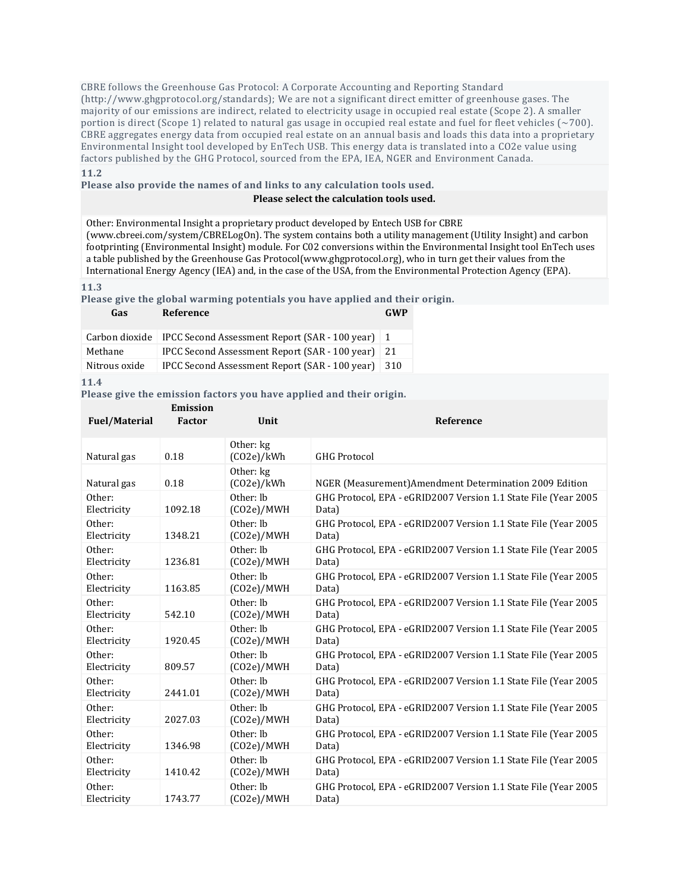CBRE follows the Greenhouse Gas Protocol: A Corporate Accounting and Reporting Standard (http://www.ghgprotocol.org/standards); We are not a significant direct emitter of greenhouse gases. The majority of our emissions are indirect, related to electricity usage in occupied real estate (Scope 2). A smaller portion is direct (Scope 1) related to natural gas usage in occupied real estate and fuel for fleet vehicles (~700). CBRE aggregates energy data from occupied real estate on an annual basis and loads this data into a proprietary Environmental Insight tool developed by EnTech USB. This energy data is translated into a CO2e value using factors published by the GHG Protocol, sourced from the EPA, IEA, NGER and Environment Canada. **11.2**

### **Please also provide the names of and links to any calculation tools used.**

#### **Please select the calculation tools used.**

Other: Environmental Insight a proprietary product developed by Entech USB for CBRE (www.cbreei.com/system/CBRELogOn). The system contains both a utility management (Utility Insight) and carbon footprinting (Environmental Insight) module. For C02 conversions within the Environmental Insight tool EnTech uses a table published by the Greenhouse Gas Protocol(www.ghgprotocol.org), who in turn get their values from the International Energy Agency (IEA) and, in the case of the USA, from the Environmental Protection Agency (EPA).

#### **11.3**

**Please give the global warming potentials you have applied and their origin.**

| Gas            | Reference                                               | GWP |
|----------------|---------------------------------------------------------|-----|
| Carbon dioxide | IPCC Second Assessment Report (SAR - 100 year) $\mid$ 1 |     |
| Methane        | IPCC Second Assessment Report (SAR - 100 year) 21       |     |
| Nitrous oxide  | IPCC Second Assessment Report (SAR - 100 year)          | 310 |

#### **11.4**

**Please give the emission factors you have applied and their origin.**

**Emission** 

| <b>Fuel/Material</b> | EMISSION<br><b>Factor</b> | Unit                    | Reference                                                       |
|----------------------|---------------------------|-------------------------|-----------------------------------------------------------------|
| Natural gas          | 0.18                      | Other: kg<br>(CO2e)/kWh | <b>GHG Protocol</b>                                             |
| Natural gas          | 0.18                      | Other: kg<br>(CO2e)/kWh | NGER (Measurement) Amendment Determination 2009 Edition         |
| Other:               | 1092.18                   | Other: lb               | GHG Protocol, EPA - eGRID2007 Version 1.1 State File (Year 2005 |
| Electricity          |                           | (CO2e)/MWH              | Data)                                                           |
| Other:               | 1348.21                   | Other: lb               | GHG Protocol, EPA - eGRID2007 Version 1.1 State File (Year 2005 |
| Electricity          |                           | (CO2e)/MWH              | Data)                                                           |
| Other:               | 1236.81                   | Other: lb               | GHG Protocol, EPA - eGRID2007 Version 1.1 State File (Year 2005 |
| Electricity          |                           | (CO2e)/MWH              | Data)                                                           |
| Other:               | 1163.85                   | Other: lb               | GHG Protocol, EPA - eGRID2007 Version 1.1 State File (Year 2005 |
| Electricity          |                           | (CO2e)/MWH              | Data)                                                           |
| Other:               | 542.10                    | Other: lb               | GHG Protocol, EPA - eGRID2007 Version 1.1 State File (Year 2005 |
| Electricity          |                           | (CO2e)/MWH              | Data)                                                           |
| Other:               | 1920.45                   | Other: lb               | GHG Protocol, EPA - eGRID2007 Version 1.1 State File (Year 2005 |
| Electricity          |                           | (CO2e)/MWH              | Data)                                                           |
| Other:               | 809.57                    | Other: lb               | GHG Protocol, EPA - eGRID2007 Version 1.1 State File (Year 2005 |
| Electricity          |                           | (CO2e)/MWH              | Data)                                                           |
| Other:               | 2441.01                   | Other: lb               | GHG Protocol, EPA - eGRID2007 Version 1.1 State File (Year 2005 |
| Electricity          |                           | (CO2e)/MWH              | Data)                                                           |
| Other:               | 2027.03                   | Other: lb               | GHG Protocol, EPA - eGRID2007 Version 1.1 State File (Year 2005 |
| Electricity          |                           | (CO2e)/MWH              | Data)                                                           |
| Other:               | 1346.98                   | Other: lb               | GHG Protocol, EPA - eGRID2007 Version 1.1 State File (Year 2005 |
| Electricity          |                           | (CO2e)/MWH              | Data)                                                           |
| Other:               | 1410.42                   | Other: lb               | GHG Protocol, EPA - eGRID2007 Version 1.1 State File (Year 2005 |
| Electricity          |                           | (CO2e)/MWH              | Data)                                                           |
| Other:               | 1743.77                   | Other: lb               | GHG Protocol, EPA - eGRID2007 Version 1.1 State File (Year 2005 |
| Electricity          |                           | (CO2e)/MWH              | Data)                                                           |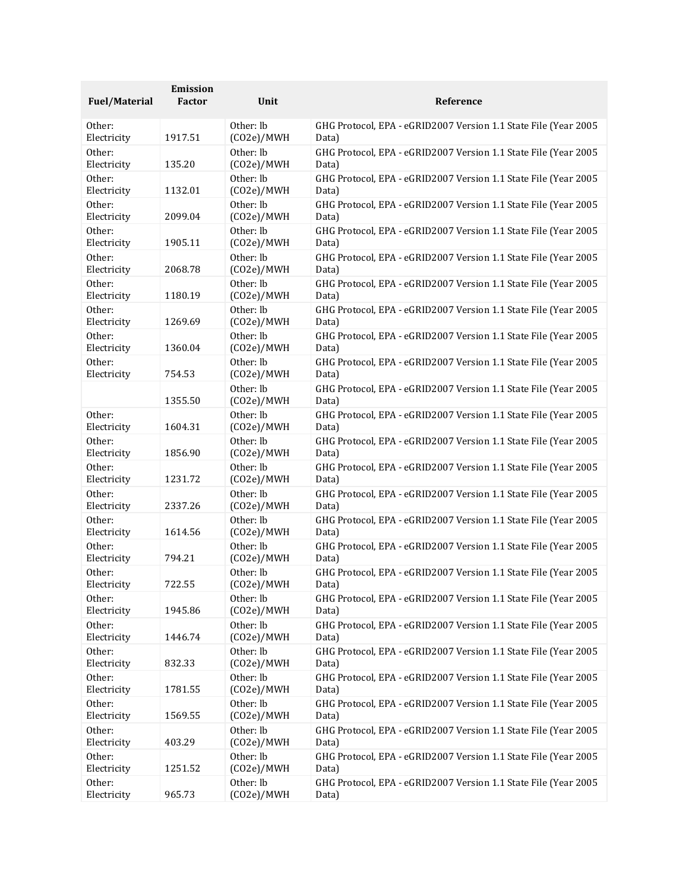| <b>Fuel/Material</b> | Emission<br><b>Factor</b> | Unit                    | Reference                                                                |
|----------------------|---------------------------|-------------------------|--------------------------------------------------------------------------|
|                      |                           |                         |                                                                          |
| Other:               | 1917.51                   | Other: lb               | GHG Protocol, EPA - eGRID2007 Version 1.1 State File (Year 2005          |
| Electricity          |                           | (CO2e)/MWH              | Data)                                                                    |
| Other:               | 135.20                    | Other: lb               | GHG Protocol, EPA - eGRID2007 Version 1.1 State File (Year 2005          |
| Electricity          |                           | (CO2e)/MWH              | Data)                                                                    |
| Other:               | 1132.01                   | Other: lb               | GHG Protocol, EPA - eGRID2007 Version 1.1 State File (Year 2005          |
| Electricity          |                           | (CO2e)/MWH              | Data)                                                                    |
| Other:               | 2099.04                   | Other: lb               | GHG Protocol, EPA - eGRID2007 Version 1.1 State File (Year 2005          |
| Electricity          |                           | (CO2e)/MWH              | Data)                                                                    |
| Other:               | 1905.11                   | Other: lb               | GHG Protocol, EPA - eGRID2007 Version 1.1 State File (Year 2005          |
| Electricity          |                           | (CO2e)/MWH              | Data)                                                                    |
| Other:               |                           | Other: lb               | GHG Protocol, EPA - eGRID2007 Version 1.1 State File (Year 2005          |
| Electricity          | 2068.78                   | (CO2e)/MWH              | Data)                                                                    |
| Other:               | 1180.19                   | Other: lb               | GHG Protocol, EPA - eGRID2007 Version 1.1 State File (Year 2005          |
| Electricity          |                           | (CO2e)/MWH              | Data)                                                                    |
| Other:               | 1269.69                   | Other: lb               | GHG Protocol, EPA - eGRID2007 Version 1.1 State File (Year 2005          |
| Electricity          |                           | (CO2e)/MWH              | Data)                                                                    |
| Other:               | 1360.04                   | Other: lb               | GHG Protocol, EPA - eGRID2007 Version 1.1 State File (Year 2005          |
| Electricity          |                           | (CO2e)/MWH              | Data)                                                                    |
| Other:               | 754.53                    | Other: lb               | GHG Protocol, EPA - eGRID2007 Version 1.1 State File (Year 2005          |
| Electricity          |                           | (CO2e)/MWH              | Data)                                                                    |
|                      | 1355.50                   | Other: lb<br>(CO2e)/MWH | GHG Protocol, EPA - eGRID2007 Version 1.1 State File (Year 2005<br>Data) |
| Other:               | 1604.31                   | Other: lb               | GHG Protocol, EPA - eGRID2007 Version 1.1 State File (Year 2005          |
| Electricity          |                           | (CO2e)/MWH              | Data)                                                                    |
| Other:               | 1856.90                   | Other: lb               | GHG Protocol, EPA - eGRID2007 Version 1.1 State File (Year 2005          |
| Electricity          |                           | (CO2e)/MWH              | Data)                                                                    |
| Other:               | 1231.72                   | Other: lb               | GHG Protocol, EPA - eGRID2007 Version 1.1 State File (Year 2005          |
| Electricity          |                           | (CO2e)/MWH              | Data)                                                                    |
| Other:               | 2337.26                   | Other: lb               | GHG Protocol, EPA - eGRID2007 Version 1.1 State File (Year 2005          |
| Electricity          |                           | (CO2e)/MWH              | Data)                                                                    |
| Other:               | 1614.56                   | Other: lb               | GHG Protocol, EPA - eGRID2007 Version 1.1 State File (Year 2005          |
| Electricity          |                           | (CO2e)/MWH              | Data)                                                                    |
| Other:               | 794.21                    | Other: lb               | GHG Protocol, EPA - eGRID2007 Version 1.1 State File (Year 2005          |
| Electricity          |                           | (CO2e)/MWH              | Data)                                                                    |
| Other:               | 722.55                    | Other: lb               | GHG Protocol, EPA - eGRID2007 Version 1.1 State File (Year 2005          |
| Electricity          |                           | (CO2e)/MWH              | Data)                                                                    |
| Other:               | 1945.86                   | Other: lb               | GHG Protocol, EPA - eGRID2007 Version 1.1 State File (Year 2005          |
| Electricity          |                           | (CO2e)/MWH              | Data)                                                                    |
| Other:               | 1446.74                   | Other: lb               | GHG Protocol, EPA - eGRID2007 Version 1.1 State File (Year 2005          |
| Electricity          |                           | (CO2e)/MWH              | Data)                                                                    |
| Other:               | 832.33                    | Other: lb               | GHG Protocol, EPA - eGRID2007 Version 1.1 State File (Year 2005          |
| Electricity          |                           | (CO2e)/MWH              | Data)                                                                    |
| Other:               |                           | Other: lb               | GHG Protocol, EPA - eGRID2007 Version 1.1 State File (Year 2005          |
| Electricity          | 1781.55                   | (CO2e)/MWH              | Data)                                                                    |
| Other:               | 1569.55                   | Other: lb               | GHG Protocol, EPA - eGRID2007 Version 1.1 State File (Year 2005          |
| Electricity          |                           | (CO2e)/MWH              | Data)                                                                    |
| Other:               | 403.29                    | Other: lb               | GHG Protocol, EPA - eGRID2007 Version 1.1 State File (Year 2005          |
| Electricity          |                           | (CO2e)/MWH              | Data)                                                                    |
| Other:               | 1251.52                   | Other: lb               | GHG Protocol, EPA - eGRID2007 Version 1.1 State File (Year 2005          |
| Electricity          |                           | (CO2e)/MWH              | Data)                                                                    |
| Other:               | 965.73                    | Other: lb               | GHG Protocol, EPA - eGRID2007 Version 1.1 State File (Year 2005          |
| Electricity          |                           | (CO2e)/MWH              | Data)                                                                    |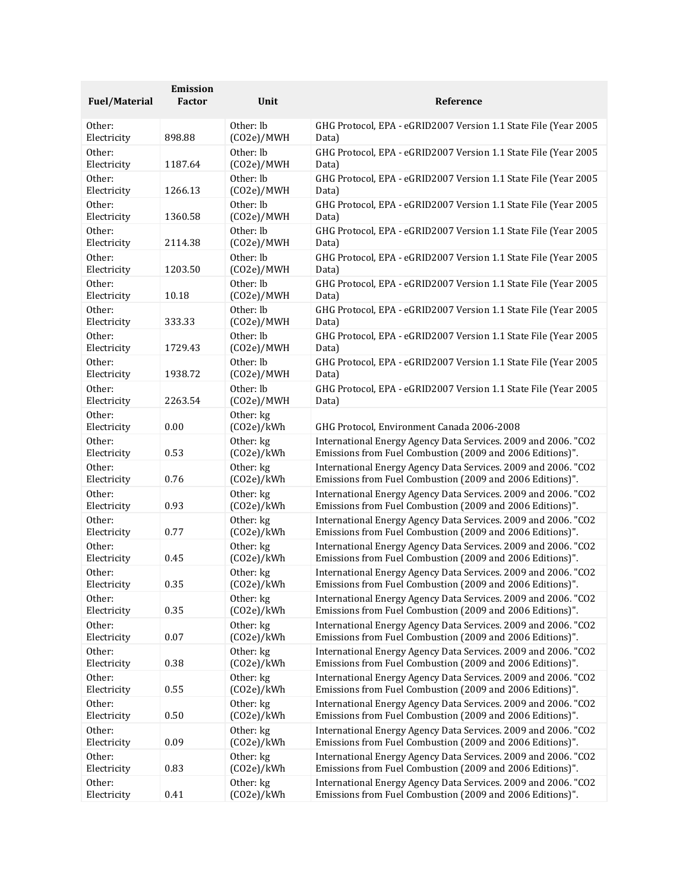|                       | Emission |                         |                                                                 |
|-----------------------|----------|-------------------------|-----------------------------------------------------------------|
| <b>Fuel/Material</b>  | Factor   | Unit                    | Reference                                                       |
| Other:                | 898.88   | Other: lb               | GHG Protocol, EPA - eGRID2007 Version 1.1 State File (Year 2005 |
| Electricity           |          | (CO2e)/MWH              | Data)                                                           |
| Other:                | 1187.64  | Other: lb               | GHG Protocol, EPA - eGRID2007 Version 1.1 State File (Year 2005 |
| Electricity           |          | (CO2e)/MWH              | Data)                                                           |
| Other:                | 1266.13  | Other: lb               | GHG Protocol, EPA - eGRID2007 Version 1.1 State File (Year 2005 |
| Electricity           |          | (CO2e)/MWH              | Data)                                                           |
| Other:                | 1360.58  | Other: lb               | GHG Protocol, EPA - eGRID2007 Version 1.1 State File (Year 2005 |
| Electricity           |          | (CO2e)/MWH              | Data)                                                           |
| Other:                | 2114.38  | Other: lb               | GHG Protocol, EPA - eGRID2007 Version 1.1 State File (Year 2005 |
| Electricity           |          | (CO2e)/MWH              | Data)                                                           |
| Other:                | 1203.50  | Other: lb               | GHG Protocol, EPA - eGRID2007 Version 1.1 State File (Year 2005 |
| Electricity           |          | (CO2e)/MWH              | Data)                                                           |
| Other:                | 10.18    | Other: lb               | GHG Protocol, EPA - eGRID2007 Version 1.1 State File (Year 2005 |
| Electricity           |          | (CO2e)/MWH              | Data)                                                           |
| Other:                | 333.33   | Other: lb               | GHG Protocol, EPA - eGRID2007 Version 1.1 State File (Year 2005 |
| Electricity           |          | (CO2e)/MWH              | Data)                                                           |
| Other:                | 1729.43  | Other: lb               | GHG Protocol, EPA - eGRID2007 Version 1.1 State File (Year 2005 |
| Electricity           |          | (CO2e)/MWH              | Data)                                                           |
| Other:                | 1938.72  | Other: lb               | GHG Protocol, EPA - eGRID2007 Version 1.1 State File (Year 2005 |
| Electricity           |          | (CO2e)/MWH              | Data)                                                           |
| Other:                | 2263.54  | Other: lb               | GHG Protocol, EPA - eGRID2007 Version 1.1 State File (Year 2005 |
| Electricity           |          | (CO2e)/MWH              | Data)                                                           |
| Other:<br>Electricity | 0.00     | Other: kg<br>(CO2e)/kWh | GHG Protocol, Environment Canada 2006-2008                      |
| Other:                | 0.53     | Other: kg               | International Energy Agency Data Services. 2009 and 2006. "CO2  |
| Electricity           |          | (CO2e)/kWh              | Emissions from Fuel Combustion (2009 and 2006 Editions)".       |
| Other:                | 0.76     | Other: kg               | International Energy Agency Data Services. 2009 and 2006. "CO2  |
| Electricity           |          | (CO2e)/kWh              | Emissions from Fuel Combustion (2009 and 2006 Editions)".       |
| Other:                | 0.93     | Other: kg               | International Energy Agency Data Services. 2009 and 2006. "CO2  |
| Electricity           |          | (CO2e)/kWh              | Emissions from Fuel Combustion (2009 and 2006 Editions)".       |
| Other:                | 0.77     | Other: kg               | International Energy Agency Data Services. 2009 and 2006. "CO2  |
| Electricity           |          | (CO2e)/kWh              | Emissions from Fuel Combustion (2009 and 2006 Editions)".       |
| Other:                | 0.45     | Other: kg               | International Energy Agency Data Services. 2009 and 2006. "CO2  |
| Electricity           |          | (CO2e)/kWh              | Emissions from Fuel Combustion (2009 and 2006 Editions)".       |
| Other:                | 0.35     | Other: kg               | International Energy Agency Data Services. 2009 and 2006. "CO2  |
| Electricity           |          | (CO2e)/kWh              | Emissions from Fuel Combustion (2009 and 2006 Editions)"        |
| Other:                | 0.35     | Other: kg               | International Energy Agency Data Services. 2009 and 2006. "CO2  |
| Electricity           |          | (CO2e)/kWh              | Emissions from Fuel Combustion (2009 and 2006 Editions)".       |
| Other:                | 0.07     | Other: kg               | International Energy Agency Data Services. 2009 and 2006. "CO2  |
| Electricity           |          | (CO2e)/kWh              | Emissions from Fuel Combustion (2009 and 2006 Editions)".       |
| Other:                | 0.38     | Other: kg               | International Energy Agency Data Services. 2009 and 2006. "CO2  |
| Electricity           |          | (CO2e)/kWh              | Emissions from Fuel Combustion (2009 and 2006 Editions)".       |
| Other:                | 0.55     | Other: kg               | International Energy Agency Data Services. 2009 and 2006. "CO2  |
| Electricity           |          | (CO2e)/kWh              | Emissions from Fuel Combustion (2009 and 2006 Editions)".       |
| Other:                | 0.50     | Other: kg               | International Energy Agency Data Services. 2009 and 2006. "CO2  |
| Electricity           |          | (CO2e)/kWh              | Emissions from Fuel Combustion (2009 and 2006 Editions)".       |
| Other:                | 0.09     | Other: kg               | International Energy Agency Data Services. 2009 and 2006. "CO2  |
| Electricity           |          | (CO2e)/kWh              | Emissions from Fuel Combustion (2009 and 2006 Editions)".       |
| Other:                | 0.83     | Other: kg               | International Energy Agency Data Services. 2009 and 2006. "CO2  |
| Electricity           |          | (CO2e)/kWh              | Emissions from Fuel Combustion (2009 and 2006 Editions)".       |
| Other:                | 0.41     | Other: kg               | International Energy Agency Data Services. 2009 and 2006. "CO2  |
| Electricity           |          | (CO2e)/kWh              | Emissions from Fuel Combustion (2009 and 2006 Editions)".       |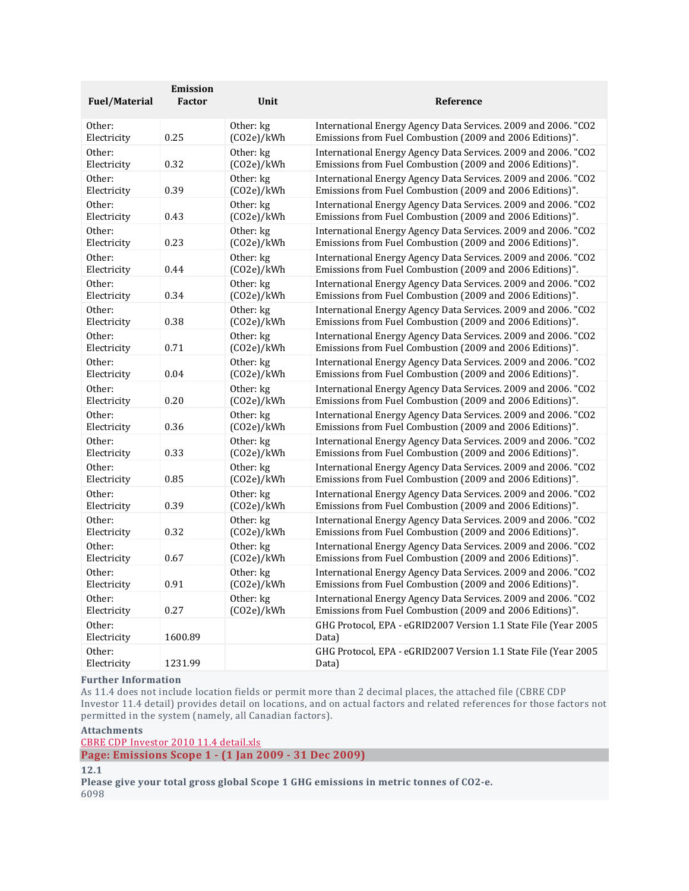| <b>Fuel/Material</b>  | Emission<br>Factor | Unit       | Reference                                                                |
|-----------------------|--------------------|------------|--------------------------------------------------------------------------|
| Other:                | 0.25               | Other: kg  | International Energy Agency Data Services. 2009 and 2006. "CO2           |
| Electricity           |                    | (CO2e)/kWh | Emissions from Fuel Combustion (2009 and 2006 Editions)".                |
| Other:                | 0.32               | Other: kg  | International Energy Agency Data Services. 2009 and 2006. "CO2           |
| Electricity           |                    | (CO2e)/kWh | Emissions from Fuel Combustion (2009 and 2006 Editions)".                |
| Other:                | 0.39               | Other: kg  | International Energy Agency Data Services. 2009 and 2006. "CO2           |
| Electricity           |                    | (CO2e)/kWh | Emissions from Fuel Combustion (2009 and 2006 Editions)".                |
| Other:                | 0.43               | Other: kg  | International Energy Agency Data Services. 2009 and 2006. "CO2           |
| Electricity           |                    | (CO2e)/kWh | Emissions from Fuel Combustion (2009 and 2006 Editions)".                |
| Other:                | 0.23               | Other: kg  | International Energy Agency Data Services. 2009 and 2006. "CO2           |
| Electricity           |                    | (CO2e)/kWh | Emissions from Fuel Combustion (2009 and 2006 Editions)".                |
| Other:                | 0.44               | Other: kg  | International Energy Agency Data Services. 2009 and 2006. "CO2           |
| Electricity           |                    | (CO2e)/kWh | Emissions from Fuel Combustion (2009 and 2006 Editions)".                |
| Other:                | 0.34               | Other: kg  | International Energy Agency Data Services. 2009 and 2006. "CO2           |
| Electricity           |                    | (CO2e)/kWh | Emissions from Fuel Combustion (2009 and 2006 Editions)".                |
| Other:                | 0.38               | Other: kg  | International Energy Agency Data Services. 2009 and 2006. "CO2           |
| Electricity           |                    | (CO2e)/kWh | Emissions from Fuel Combustion (2009 and 2006 Editions)".                |
| Other:                | 0.71               | Other: kg  | International Energy Agency Data Services. 2009 and 2006. "CO2           |
| Electricity           |                    | (CO2e)/kWh | Emissions from Fuel Combustion (2009 and 2006 Editions)".                |
| Other:                | 0.04               | Other: kg  | International Energy Agency Data Services. 2009 and 2006. "CO2           |
| Electricity           |                    | (CO2e)/kWh | Emissions from Fuel Combustion (2009 and 2006 Editions)".                |
| Other:                | 0.20               | Other: kg  | International Energy Agency Data Services. 2009 and 2006. "CO2           |
| Electricity           |                    | (CO2e)/kWh | Emissions from Fuel Combustion (2009 and 2006 Editions)".                |
| Other:                | 0.36               | Other: kg  | International Energy Agency Data Services. 2009 and 2006. "CO2           |
| Electricity           |                    | (CO2e)/kWh | Emissions from Fuel Combustion (2009 and 2006 Editions)".                |
| Other:                | 0.33               | Other: kg  | International Energy Agency Data Services. 2009 and 2006. "CO2           |
| Electricity           |                    | (CO2e)/kWh | Emissions from Fuel Combustion (2009 and 2006 Editions)".                |
| Other:                | 0.85               | Other: kg  | International Energy Agency Data Services. 2009 and 2006. "CO2           |
| Electricity           |                    | (CO2e)/kWh | Emissions from Fuel Combustion (2009 and 2006 Editions)".                |
| Other:                | 0.39               | Other: kg  | International Energy Agency Data Services. 2009 and 2006. "CO2           |
| Electricity           |                    | (CO2e)/kWh | Emissions from Fuel Combustion (2009 and 2006 Editions)".                |
| Other:                | 0.32               | Other: kg  | International Energy Agency Data Services. 2009 and 2006. "CO2           |
| Electricity           |                    | (CO2e)/kWh | Emissions from Fuel Combustion (2009 and 2006 Editions)".                |
| Other:                | 0.67               | Other: kg  | International Energy Agency Data Services. 2009 and 2006. "CO2           |
| Electricity           |                    | (CO2e)/kWh | Emissions from Fuel Combustion (2009 and 2006 Editions)".                |
| Other:                | 0.91               | Other: kg  | International Energy Agency Data Services. 2009 and 2006. "CO2           |
| Electricity           |                    | (CO2e)/kWh | Emissions from Fuel Combustion (2009 and 2006 Editions)".                |
| Other:                | 0.27               | Other: kg  | International Energy Agency Data Services. 2009 and 2006. "CO2           |
| Electricity           |                    | (CO2e)/kWh | Emissions from Fuel Combustion (2009 and 2006 Editions)".                |
| Other:<br>Electricity | 1600.89            |            | GHG Protocol, EPA - eGRID2007 Version 1.1 State File (Year 2005<br>Data) |
| Other:<br>Electricity | 1231.99            |            | GHG Protocol, EPA - eGRID2007 Version 1.1 State File (Year 2005<br>Data) |

#### **Further Information**

As 11.4 does not include location fields or permit more than 2 decimal places, the attached file (CBRE CDP Investor 11.4 detail) provides detail on locations, and on actual factors and related references for those factors not permitted in the system (namely, all Canadian factors).

# **Attachments**

CBRE CDP Investor 2010 11.4 [detail.xls](https://www.cdp.net/Sites/2010/85/2885/Investor%20CDP%202010/Shared%20Documents/Attachments/InvestorCDP2010/Emissions-Methodology(1Jan2009-31Dec2009)/CBRE%20CDP%20Investor%202010%2011.4%20detail.xls) **Page: Emissions Scope 1 - (1 Jan 2009 - 31 Dec 2009)**

#### **12.1**

**Please give your total gross global Scope 1 GHG emissions in metric tonnes of CO2-e.** 6098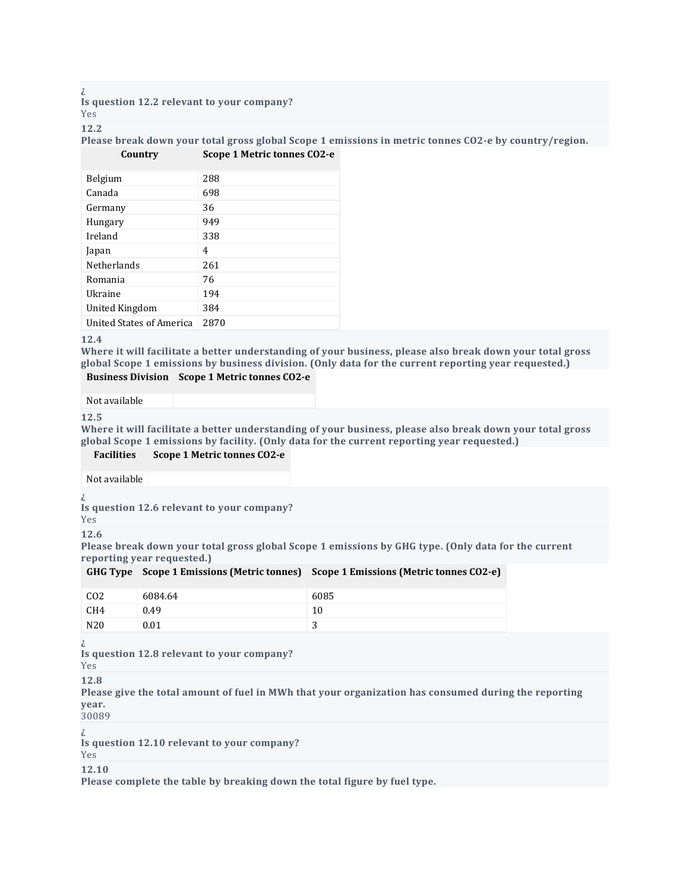**Is question 12.2 relevant to your company?** Yes

#### **12.2**

**Please break down your total gross global Scope 1 emissions in metric tonnes CO2-e by country/region. Country Scope 1 Metric tonnes CO2-e**

| Belgium                  | 288  |
|--------------------------|------|
| Canada                   | 698  |
| Germany                  | 36   |
| Hungary                  | 949  |
| Ireland                  | 338  |
| Japan                    | 4    |
| <b>Netherlands</b>       | 261  |
| Romania                  | 76   |
| Ukraine                  | 194  |
| United Kingdom           | 384  |
| United States of America | 2870 |

#### **12.4**

**Where it will facilitate a better understanding of your business, please also break down your total gross global Scope 1 emissions by business division. (Only data for the current reporting year requested.)**

#### **Business Division Scope 1 Metric tonnes CO2-e**

Not available

**12.5**

**Where it will facilitate a better understanding of your business, please also break down your total gross global Scope 1 emissions by facility. (Only data for the current reporting year requested.)**

#### **Facilities Scope 1 Metric tonnes CO2-e**

Not available

**¿**

**Is question 12.6 relevant to your company?**

Yes **12.6**

Please break down your total gross global Scope 1 emissions by GHG type. (Only data for the current **reporting year requested.)**

|                 |         | GHG Type Scope 1 Emissions (Metric tonnes) Scope 1 Emissions (Metric tonnes CO2-e) |
|-----------------|---------|------------------------------------------------------------------------------------|
| CO <sub>2</sub> | 6084.64 | 6085                                                                               |
| $\sim$          |         |                                                                                    |

| CH4 | 0.49 | πU          |
|-----|------|-------------|
| N20 | 0.01 | $\sim$<br>ت |
|     |      |             |

**¿**

**Is question 12.8 relevant to your company?**

Yes

**12.8**

**Please give the total amount of fuel in MWh that your organization has consumed during the reporting year.**

30089

**¿**

**Is question 12.10 relevant to your company?**

Yes

**12.10**

**Please complete the table by breaking down the total figure by fuel type.**

**¿**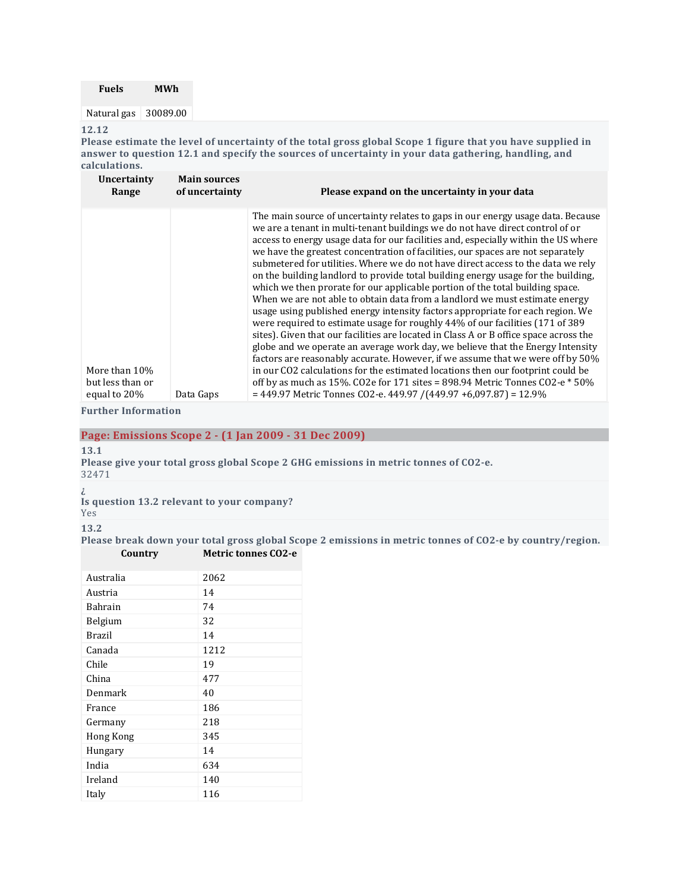| <b>Fuels</b>         | <b>MWh</b> |
|----------------------|------------|
| Natural gas 30089.00 |            |
| 12.12                |            |

Please estimate the level of uncertainty of the total gross global Scope 1 figure that you have supplied in **answer to question 12.1 and specify the sources of uncertainty in your data gathering, handling, and calculations.**

| Uncertainty<br>Range                              | <b>Main sources</b><br>of uncertainty | Please expand on the uncertainty in your data                                                                                                                                                                                                                                                                                                                                                                                                                                                                                                                                                                                                                                                                                                                                                                                                                                                                                                                                                                                                                                                                                                                                                                                                                                                                                                                  |
|---------------------------------------------------|---------------------------------------|----------------------------------------------------------------------------------------------------------------------------------------------------------------------------------------------------------------------------------------------------------------------------------------------------------------------------------------------------------------------------------------------------------------------------------------------------------------------------------------------------------------------------------------------------------------------------------------------------------------------------------------------------------------------------------------------------------------------------------------------------------------------------------------------------------------------------------------------------------------------------------------------------------------------------------------------------------------------------------------------------------------------------------------------------------------------------------------------------------------------------------------------------------------------------------------------------------------------------------------------------------------------------------------------------------------------------------------------------------------|
| More than 10%<br>but less than or<br>equal to 20% | Data Gaps                             | The main source of uncertainty relates to gaps in our energy usage data. Because<br>we are a tenant in multi-tenant buildings we do not have direct control of or<br>access to energy usage data for our facilities and, especially within the US where<br>we have the greatest concentration of facilities, our spaces are not separately<br>submetered for utilities. Where we do not have direct access to the data we rely<br>on the building landlord to provide total building energy usage for the building,<br>which we then prorate for our applicable portion of the total building space.<br>When we are not able to obtain data from a landlord we must estimate energy<br>usage using published energy intensity factors appropriate for each region. We<br>were required to estimate usage for roughly 44% of our facilities (171 of 389)<br>sites). Given that our facilities are located in Class A or B office space across the<br>globe and we operate an average work day, we believe that the Energy Intensity<br>factors are reasonably accurate. However, if we assume that we were off by 50%<br>in our CO2 calculations for the estimated locations then our footprint could be<br>off by as much as 15%. CO2e for 171 sites = 898.94 Metric Tonnes CO2-e $*$ 50%<br>= 449.97 Metric Tonnes CO2-e. 449.97 / (449.97 +6,097.87) = 12.9% |

**Further Information**

**Page: Emissions Scope 2 - (1 Jan 2009 - 31 Dec 2009)**

**13.1**

**Please give your total gross global Scope 2 GHG emissions in metric tonnes of CO2-e.**

32471

**¿**

**Is question 13.2 relevant to your company?**

Yes

**13.2**

**Please break down your total gross global Scope 2 emissions in metric tonnes of CO2-e by country/region. Country Metric tonnes CO2-e**

| 2062 |
|------|
| 14   |
| 74   |
| 32   |
| 14   |
| 1212 |
| 19   |
| 477  |
| 40   |
| 186  |
| 218  |
| 345  |
| 14   |
| 634  |
| 140  |
| 116  |
|      |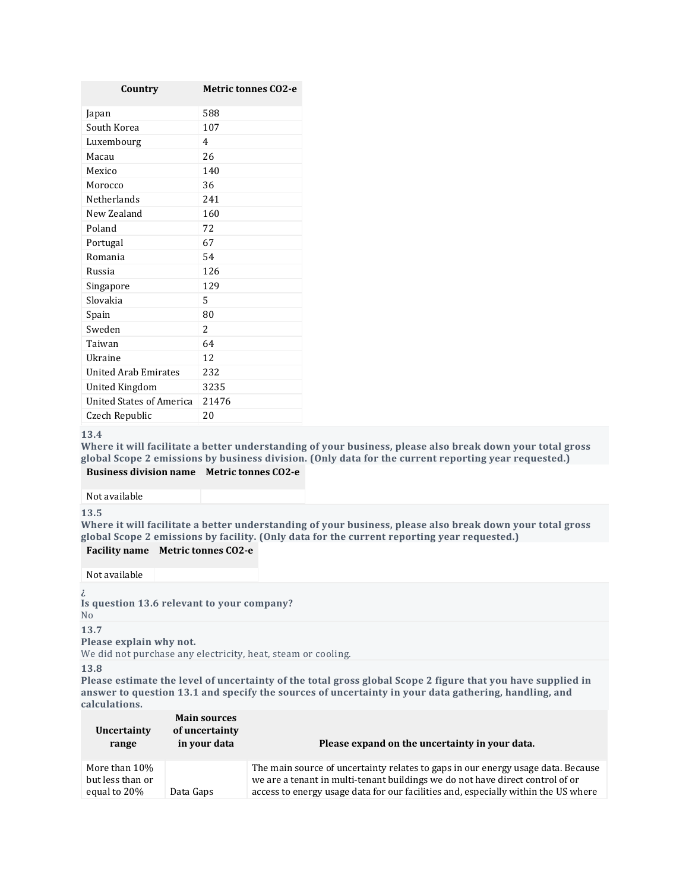| Country                         | <b>Metric tonnes CO2-e</b> |
|---------------------------------|----------------------------|
| Japan                           | 588                        |
| South Korea                     | 107                        |
| Luxembourg                      | 4                          |
| Macau                           | 26                         |
| Mexico                          | 140                        |
| Morocco                         | 36                         |
| Netherlands                     | 241                        |
| New Zealand                     | 160                        |
| Poland                          | 72                         |
| Portugal                        | 67                         |
| Romania                         | 54                         |
| Russia                          | 126                        |
| Singapore                       | 129                        |
| Slovakia                        | 5                          |
| Spain                           | 80                         |
| Sweden                          | 2                          |
| Taiwan                          | 64                         |
| Ukraine                         | 12                         |
| <b>United Arab Emirates</b>     | 232                        |
| United Kingdom                  | 3235                       |
| <b>United States of America</b> | 21476                      |
| Czech Republic                  | 20                         |

**Where it will facilitate a better understanding of your business, please also break down your total gross global Scope 2 emissions by business division. (Only data for the current reporting year requested.) Business division name Metric tonnes CO2-e**

Not available

**13.5**

**Where it will facilitate a better understanding of your business, please also break down your total gross global Scope 2 emissions by facility. (Only data for the current reporting year requested.)**

**Facility name Metric tonnes CO2-e**

Not available

**¿**

**Is question 13.6 relevant to your company?**

No

**13.7**

**Please explain why not.**

We did not purchase any electricity, heat, steam or cooling.

**13.8**

Please estimate the level of uncertainty of the total gross global Scope 2 figure that you have supplied in **answer to question 13.1 and specify the sources of uncertainty in your data gathering, handling, and calculations.**

| Uncertainty<br>range                              | <b>Main sources</b><br>of uncertainty<br>in your data | Please expand on the uncertainty in your data.                                                                                                                                                                                                          |
|---------------------------------------------------|-------------------------------------------------------|---------------------------------------------------------------------------------------------------------------------------------------------------------------------------------------------------------------------------------------------------------|
| More than 10%<br>but less than or<br>equal to 20% | Data Gaps                                             | The main source of uncertainty relates to gaps in our energy usage data. Because<br>we are a tenant in multi-tenant buildings we do not have direct control of or<br>access to energy usage data for our facilities and, especially within the US where |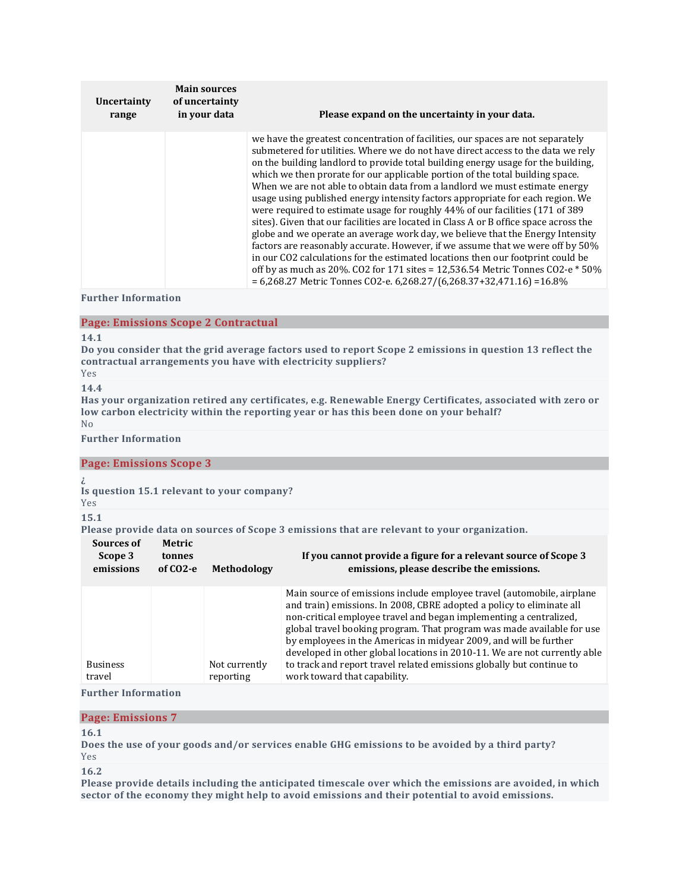| Uncertainty<br>range | <b>Main sources</b><br>of uncertainty<br>in your data | Please expand on the uncertainty in your data.                                                                                                                                                                                                                                                                                                                                                                                                                                                                                                                                                                                                                                                                                                                                                                                                                                                                                                                                                                                                                                                             |  |  |  |
|----------------------|-------------------------------------------------------|------------------------------------------------------------------------------------------------------------------------------------------------------------------------------------------------------------------------------------------------------------------------------------------------------------------------------------------------------------------------------------------------------------------------------------------------------------------------------------------------------------------------------------------------------------------------------------------------------------------------------------------------------------------------------------------------------------------------------------------------------------------------------------------------------------------------------------------------------------------------------------------------------------------------------------------------------------------------------------------------------------------------------------------------------------------------------------------------------------|--|--|--|
|                      |                                                       | we have the greatest concentration of facilities, our spaces are not separately<br>submetered for utilities. Where we do not have direct access to the data we rely<br>on the building landlord to provide total building energy usage for the building,<br>which we then prorate for our applicable portion of the total building space.<br>When we are not able to obtain data from a landlord we must estimate energy<br>usage using published energy intensity factors appropriate for each region. We<br>were required to estimate usage for roughly 44% of our facilities (171 of 389<br>sites). Given that our facilities are located in Class A or B office space across the<br>globe and we operate an average work day, we believe that the Energy Intensity<br>factors are reasonably accurate. However, if we assume that we were off by 50%<br>in our CO2 calculations for the estimated locations then our footprint could be<br>off by as much as 20%. CO2 for 171 sites = 12,536.54 Metric Tonnes CO2-e $*$ 50%<br>$= 6,268.27$ Metric Tonnes CO2-e. 6,268.27/(6,268.37+32,471.16) = 16.8% |  |  |  |

**Further Information**

# **Page: Emissions Scope 2 Contractual**

#### **14.1**

Do you consider that the grid average factors used to report Scope 2 emissions in question 13 reflect the **contractual arrangements you have with electricity suppliers?**

Yes **14.4**

**Has your organization retired any certificates, e.g. Renewable Energy Certificates, associated with zero or low carbon electricity within the reporting year or has this been done on your behalf?** No

**Further Information**

#### **Page: Emissions Scope 3**

**¿**

**Is question 15.1 relevant to your company?**

# Yes

# **15.1**

**Please provide data on sources of Scope 3 emissions that are relevant to your organization.**

| Sources of<br>Scope 3<br>emissions | Metric<br>tonnes<br>of CO <sub>2</sub> -e | <b>Methodology</b>         | If you cannot provide a figure for a relevant source of Scope 3<br>emissions, please describe the emissions.                                                                                                                                                                                                                                                                                                                                                                                                                                               |
|------------------------------------|-------------------------------------------|----------------------------|------------------------------------------------------------------------------------------------------------------------------------------------------------------------------------------------------------------------------------------------------------------------------------------------------------------------------------------------------------------------------------------------------------------------------------------------------------------------------------------------------------------------------------------------------------|
| <b>Business</b><br>travel          |                                           | Not currently<br>reporting | Main source of emissions include employee travel (automobile, airplane<br>and train) emissions. In 2008, CBRE adopted a policy to eliminate all<br>non-critical employee travel and began implementing a centralized,<br>global travel booking program. That program was made available for use<br>by employees in the Americas in midyear 2009, and will be further<br>developed in other global locations in 2010-11. We are not currently able<br>to track and report travel related emissions globally but continue to<br>work toward that capability. |

# **Further Information**

#### **Page: Emissions 7**

#### **16.1**

**Does the use of your goods and/or services enable GHG emissions to be avoided by a third party?** Yes

**16.2**

**Please provide details including the anticipated timescale over which the emissions are avoided, in which sector of the economy they might help to avoid emissions and their potential to avoid emissions.**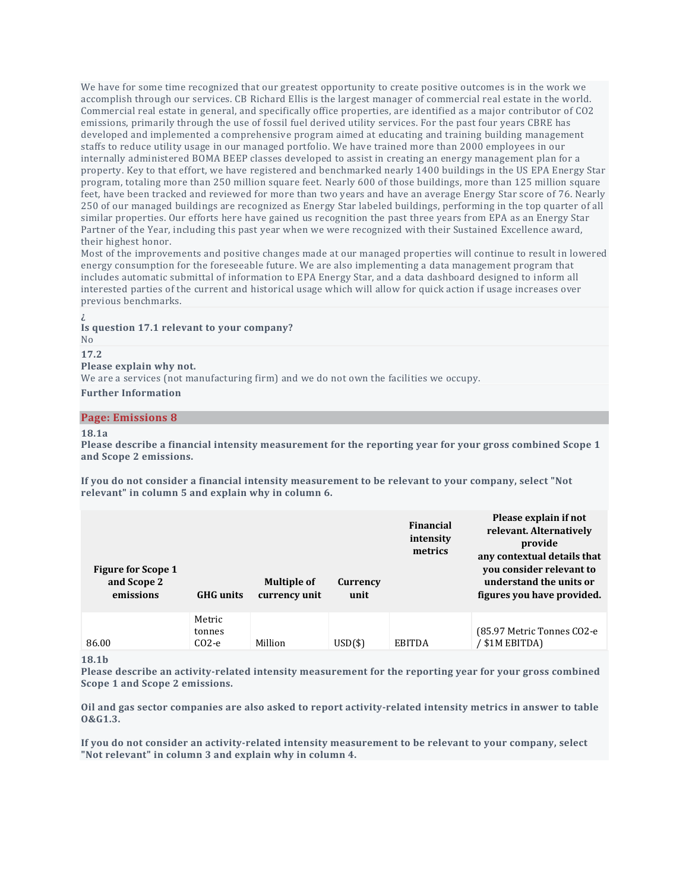We have for some time recognized that our greatest opportunity to create positive outcomes is in the work we accomplish through our services. CB Richard Ellis is the largest manager of commercial real estate in the world. Commercial real estate in general, and specifically office properties, are identified as a major contributor of CO2 emissions, primarily through the use of fossil fuel derived utility services. For the past four years CBRE has developed and implemented a comprehensive program aimed at educating and training building management staffs to reduce utility usage in our managed portfolio. We have trained more than 2000 employees in our internally administered BOMA BEEP classes developed to assist in creating an energy management plan for a property. Key to that effort, we have registered and benchmarked nearly 1400 buildings in the US EPA Energy Star program, totaling more than 250 million square feet. Nearly 600 of those buildings, more than 125 million square feet, have been tracked and reviewed for more than two years and have an average Energy Star score of 76. Nearly 250 of our managed buildings are recognized as Energy Star labeled buildings, performing in the top quarter of all similar properties. Our efforts here have gained us recognition the past three years from EPA as an Energy Star Partner of the Year, including this past year when we were recognized with their Sustained Excellence award, their highest honor.

Most of the improvements and positive changes made at our managed properties will continue to result in lowered energy consumption for the foreseeable future. We are also implementing a data management program that includes automatic submittal of information to EPA Energy Star, and a data dashboard designed to inform all interested parties of the current and historical usage which will allow for quick action if usage increases over previous benchmarks.

#### **¿ Is question 17.1 relevant to your company?** No

**17.2**

**Please explain why not.**

We are a services (not manufacturing firm) and we do not own the facilities we occupy.

#### **Further Information**

#### **Page: Emissions 8**

#### **18.1a**

**Please describe a financial intensity measurement for the reporting year for your gross combined Scope 1 and Scope 2 emissions.**

**If you do not consider a financial intensity measurement to be relevant to your company, select "Not relevant" in column 5 and explain why in column 6.**

| <b>Figure for Scope 1</b><br>and Scope 2<br>emissions | <b>GHG</b> units            | <b>Multiple of</b><br>currency unit | Currency<br>unit | Financial<br>intensity<br>metrics | Please explain if not<br>relevant. Alternatively<br>provide<br>any contextual details that<br>you consider relevant to<br>understand the units or<br>figures you have provided. |
|-------------------------------------------------------|-----------------------------|-------------------------------------|------------------|-----------------------------------|---------------------------------------------------------------------------------------------------------------------------------------------------------------------------------|
| 86.00                                                 | Metric<br>tonnes<br>$CO2-e$ | Million                             | $USD($ \$        | <b>EBITDA</b>                     | (85.97 Metric Tonnes CO2-e)<br>' \$1M EBITDA)                                                                                                                                   |

**18.1b**

**Please describe an activity-related intensity measurement for the reporting year for your gross combined Scope 1 and Scope 2 emissions.**

Oil and gas sector companies are also asked to report activity-related intensity metrics in answer to table **O&G1.3.**

**If you do not consider an activity-related intensity measurement to be relevant to your company, select "Not relevant" in column 3 and explain why in column 4.**